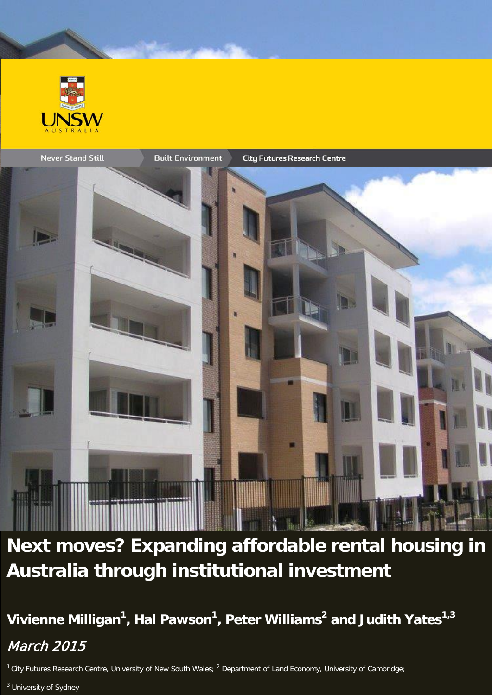



**Next moves? Expanding affordable rental housing in Australia through institutional investment**

**Vivienne Milligan1 , Hal Pawson<sup>1</sup> , Peter Williams2 and Judith Yates1,3** March 2015

 $1$  City Futures Research Centre, University of New South Wales;  $2$  Department of Land Economy, University of Cambridge;

<sup>3</sup> University of Sydney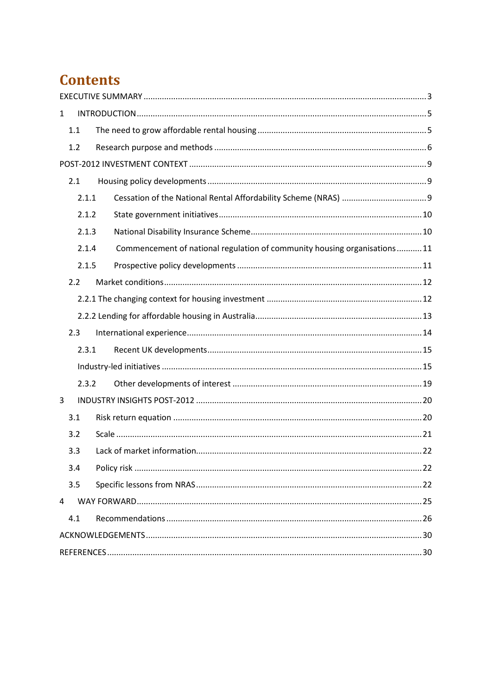# **Contents**

| $\mathbf{1}$ |       |                                                                           |  |  |  |
|--------------|-------|---------------------------------------------------------------------------|--|--|--|
|              | 1.1   |                                                                           |  |  |  |
|              | 1.2   |                                                                           |  |  |  |
|              |       |                                                                           |  |  |  |
|              | 2.1   |                                                                           |  |  |  |
|              | 2.1.1 |                                                                           |  |  |  |
|              | 2.1.2 |                                                                           |  |  |  |
|              | 2.1.3 |                                                                           |  |  |  |
|              | 2.1.4 | Commencement of national regulation of community housing organisations 11 |  |  |  |
|              | 2.1.5 |                                                                           |  |  |  |
|              | 2.2   |                                                                           |  |  |  |
|              |       |                                                                           |  |  |  |
|              |       |                                                                           |  |  |  |
|              | 2.3   |                                                                           |  |  |  |
|              | 2.3.1 |                                                                           |  |  |  |
|              |       |                                                                           |  |  |  |
|              | 2.3.2 |                                                                           |  |  |  |
| 3            |       |                                                                           |  |  |  |
|              | 3.1   |                                                                           |  |  |  |
|              | 3.2   |                                                                           |  |  |  |
|              | 3.3   |                                                                           |  |  |  |
|              | 3.4   |                                                                           |  |  |  |
|              | 3.5   |                                                                           |  |  |  |
| 4            |       |                                                                           |  |  |  |
|              | 4.1   |                                                                           |  |  |  |
|              |       |                                                                           |  |  |  |
|              |       |                                                                           |  |  |  |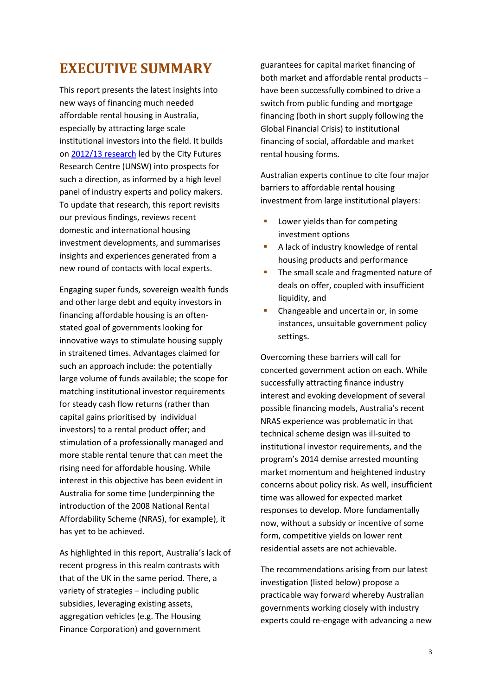## <span id="page-2-0"></span>**EXECUTIVE SUMMARY**

This report presents the latest insights into new ways of financing much needed affordable rental housing in Australia, especially by attracting large scale institutional investors into the field. It builds on [2012/13](http://www.ahuri.edu.au/publications/projects/p71016) research led by the City Futures Research Centre (UNSW) into prospects for such a direction, as informed by a high level panel of industry experts and policy makers. To update that research, this report revisits our previous findings, reviews recent domestic and international housing investment developments, and summarises insights and experiences generated from a new round of contacts with local experts.

Engaging super funds, sovereign wealth funds and other large debt and equity investors in financing affordable housing is an oftenstated goal of governments looking for innovative ways to stimulate housing supply in straitened times. Advantages claimed for such an approach include: the potentially large volume of funds available; the scope for matching institutional investor requirements for steady cash flow returns (rather than capital gains prioritised by individual investors) to a rental product offer; and stimulation of a professionally managed and more stable rental tenure that can meet the rising need for affordable housing. While interest in this objective has been evident in Australia for some time (underpinning the introduction of the 2008 National Rental Affordability Scheme (NRAS), for example), it has yet to be achieved.

As highlighted in this report, Australia's lack of recent progress in this realm contrasts with that of the UK in the same period. There, a variety of strategies – including public subsidies, leveraging existing assets, aggregation vehicles (e.g. The Housing Finance Corporation) and government

guarantees for capital market financing of both market and affordable rental products – have been successfully combined to drive a switch from public funding and mortgage financing (both in short supply following the Global Financial Crisis) to institutional financing of social, affordable and market rental housing forms.

Australian experts continue to cite four major barriers to affordable rental housing investment from large institutional players:

- **Lower yields than for competing** investment options
- A lack of industry knowledge of rental housing products and performance
- The small scale and fragmented nature of deals on offer, coupled with insufficient liquidity, and
- Changeable and uncertain or, in some instances, unsuitable government policy settings.

Overcoming these barriers will call for concerted government action on each. While successfully attracting finance industry interest and evoking development of several possible financing models, Australia's recent NRAS experience was problematic in that technical scheme design was ill-suited to institutional investor requirements, and the program's 2014 demise arrested mounting market momentum and heightened industry concerns about policy risk. As well, insufficient time was allowed for expected market responses to develop. More fundamentally now, without a subsidy or incentive of some form, competitive yields on lower rent residential assets are not achievable.

The recommendations arising from our latest investigation (listed below) propose a practicable way forward whereby Australian governments working closely with industry experts could re-engage with advancing a new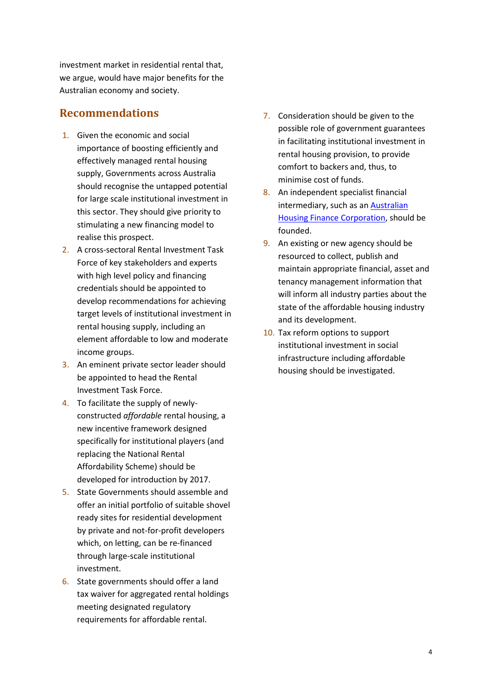investment market in residential rental that, we argue, would have major benefits for the Australian economy and society.

#### **Recommendations**

- 1. Given the economic and social importance of boosting efficiently and effectively managed rental housing supply, Governments across Australia should recognise the untapped potential for large scale institutional investment in this sector. They should give priority to stimulating a new financing model to realise this prospect.
- 2. A cross-sectoral Rental Investment Task Force of key stakeholders and experts with high level policy and financing credentials should be appointed to develop recommendations for achieving target levels of institutional investment in rental housing supply, including an element affordable to low and moderate income groups.
- 3. An eminent private sector leader should be appointed to head the Rental Investment Task Force.
- 4. To facilitate the supply of newlyconstructed *affordable* rental housing, a new incentive framework designed specifically for institutional players (and replacing the National Rental Affordability Scheme) should be developed for introduction by 2017.
- 5. State Governments should assemble and offer an initial portfolio of suitable shovel ready sites for residential development by private and not-for-profit developers which, on letting, can be re-financed through large-scale institutional investment.
- 6. State governments should offer a land tax waiver for aggregated rental holdings meeting designated regulatory requirements for affordable rental.
- 7. Consideration should be given to the possible role of government guarantees in facilitating institutional investment in rental housing provision, to provide comfort to backers and, thus, to minimise cost of funds.
- 8. An independent specialist financial intermediary, such as a[n Australian](http://www.ahuri.edu.au/publications/projects/p53019)  [Housing Finance Corporation,](http://www.ahuri.edu.au/publications/projects/p53019) should be founded.
- 9. An existing or new agency should be resourced to collect, publish and maintain appropriate financial, asset and tenancy management information that will inform all industry parties about the state of the affordable housing industry and its development.
- 10. Tax reform options to support institutional investment in social infrastructure including affordable housing should be investigated.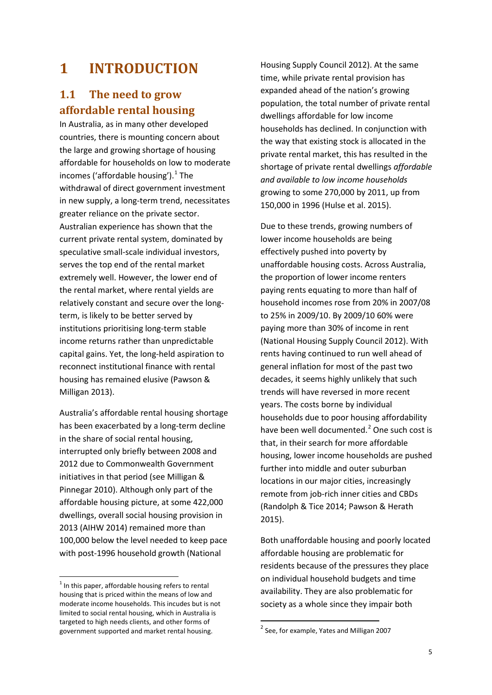# <span id="page-4-0"></span>**1 INTRODUCTION**

## <span id="page-4-1"></span>**1.1 The need to grow affordable rental housing**

In Australia, as in many other developed countries, there is mounting concern about the large and growing shortage of housing affordable for households on low to moderate incomes ('affordable housing'). [1](#page-4-2) The withdrawal of direct government investment in new supply, a long-term trend, necessitates greater reliance on the private sector. Australian experience has shown that the current private rental system, dominated by speculative small-scale individual investors, serves the top end of the rental market extremely well. However, the lower end of the rental market, where rental yields are relatively constant and secure over the longterm, is likely to be better served by institutions prioritising long-term stable income returns rather than unpredictable capital gains. Yet, the long-held aspiration to reconnect institutional finance with rental housing has remained elusive (Pawson & Milligan 2013).

Australia's affordable rental housing shortage has been exacerbated by a long-term decline in the share of social rental housing, interrupted only briefly between 2008 and 2012 due to Commonwealth Government initiatives in that period (see Milligan & Pinnegar 2010). Although only part of the affordable housing picture, at some 422,000 dwellings, overall social housing provision in 2013 (AIHW 2014) remained more than 100,000 below the level needed to keep pace with post-1996 household growth (National

Housing Supply Council 2012). At the same time, while private rental provision has expanded ahead of the nation's growing population, the total number of private rental dwellings affordable for low income households has declined. In conjunction with the way that existing stock is allocated in the private rental market, this has resulted in the shortage of private rental dwellings *affordable and available to low income households*  growing to some 270,000 by 2011, up from 150,000 in 1996 (Hulse et al. 2015).

Due to these trends, growing numbers of lower income households are being effectively pushed into poverty by unaffordable housing costs. Across Australia, the proportion of lower income renters paying rents equating to more than half of household incomes rose from 20% in 2007/08 to 25% in 2009/10. By 2009/10 60% were paying more than 30% of income in rent (National Housing Supply Council 2012). With rents having continued to run well ahead of general inflation for most of the past two decades, it seems highly unlikely that such trends will have reversed in more recent years. The costs borne by individual households due to poor housing affordability have been well documented. [2](#page-4-3) One such cost is that, in their search for more affordable housing, lower income households are pushed further into middle and outer suburban locations in our major cities, increasingly remote from job-rich inner cities and CBDs (Randolph & Tice 2014; Pawson & Herath 2015).

Both unaffordable housing and poorly located affordable housing are problematic for residents because of the pressures they place on individual household budgets and time availability. They are also problematic for society as a whole since they impair both

<span id="page-4-3"></span><span id="page-4-2"></span> $<sup>1</sup>$  In this paper, affordable housing refers to rental</sup> housing that is priced within the means of low and moderate income households. This incudes but is not limited to social rental housing, which in Australia is targeted to high needs clients, and other forms of government supported and market rental housing.

 $2^{2}$  See, for example, Yates and Milligan 2007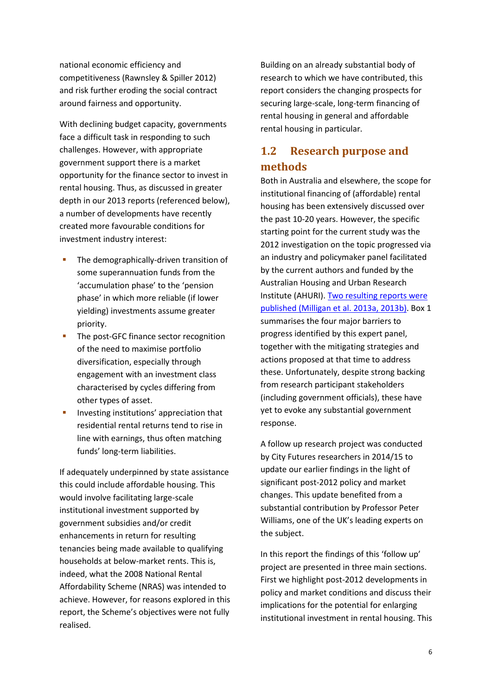national economic efficiency and competitiveness (Rawnsley & Spiller 2012) and risk further eroding the social contract around fairness and opportunity.

With declining budget capacity, governments face a difficult task in responding to such challenges. However, with appropriate government support there is a market opportunity for the finance sector to invest in rental housing. Thus, as discussed in greater depth in our 2013 reports (referenced below), a number of developments have recently created more favourable conditions for investment industry interest:

- The demographically-driven transition of some superannuation funds from the 'accumulation phase' to the 'pension phase' in which more reliable (if lower yielding) investments assume greater priority.
- **The post-GFC finance sector recognition** of the need to maximise portfolio diversification, especially through engagement with an investment class characterised by cycles differing from other types of asset.
- **Investing institutions' appreciation that** residential rental returns tend to rise in line with earnings, thus often matching funds' long-term liabilities.

If adequately underpinned by state assistance this could include affordable housing. This would involve facilitating large-scale institutional investment supported by government subsidies and/or credit enhancements in return for resulting tenancies being made available to qualifying households at below-market rents. This is, indeed, what the 2008 National Rental Affordability Scheme (NRAS) was intended to achieve. However, for reasons explored in this report, the Scheme's objectives were not fully realised.

Building on an already substantial body of research to which we have contributed, this report considers the changing prospects for securing large-scale, long-term financing of rental housing in general and affordable rental housing in particular.

## <span id="page-5-0"></span>**1.2 Research purpose and methods**

Both in Australia and elsewhere, the scope for institutional financing of (affordable) rental housing has been extensively discussed over the past 10-20 years. However, the specific starting point for the current study was the 2012 investigation on the topic progressed via an industry and policymaker panel facilitated by the current authors and funded by the Australian Housing and Urban Research Institute (AHURI). [Two resulting reports were](http://www.ahuri.edu.au/publications/projects/p71016)  [published \(Milligan et al.](http://www.ahuri.edu.au/publications/projects/p71016) 2013a, 2013b). Box 1 summarises the four major barriers to progress identified by this expert panel, together with the mitigating strategies and actions proposed at that time to address these. Unfortunately, despite strong backing from research participant stakeholders (including government officials), these have yet to evoke any substantial government response.

A follow up research project was conducted by City Futures researchers in 2014/15 to update our earlier findings in the light of significant post-2012 policy and market changes. This update benefited from a substantial contribution by Professor Peter Williams, one of the UK's leading experts on the subject.

In this report the findings of this 'follow up' project are presented in three main sections. First we highlight post-2012 developments in policy and market conditions and discuss their implications for the potential for enlarging institutional investment in rental housing. This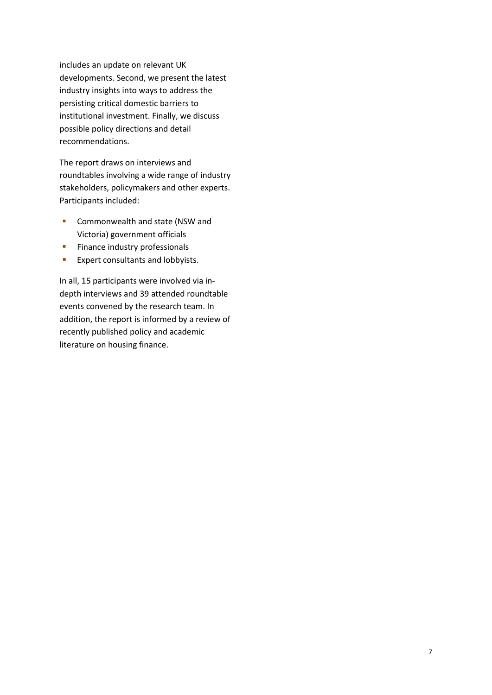includes an update on relevant UK developments. Second, we present the latest industry insights into ways to address the persisting critical domestic barriers to institutional investment. Finally, we discuss possible policy directions and detail recommendations.

The report draws on interviews and roundtables involving a wide range of industry stakeholders, policymakers and other experts. Participants included:

- **Commonwealth and state (NSW and** Victoria) government officials
- **Finance industry professionals**
- **Expert consultants and lobbyists.**

In all, 15 participants were involved via indepth interviews and 39 attended roundtable events convened by the research team. In addition, the report is informed by a review of recently published policy and academic literature on housing finance.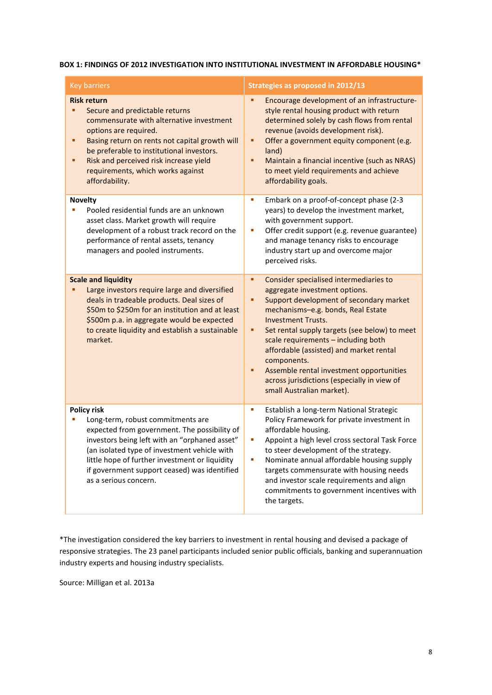#### **BOX 1: FINDINGS OF 2012 INVESTIGATION INTO INSTITUTIONAL INVESTMENT IN AFFORDABLE HOUSING\***

| <b>Key barriers</b>                                                                                                                                                                                                                                                                                                                 | Strategies as proposed in 2012/13                                                                                                                                                                                                                                                                                                                                                                                                                                                   |
|-------------------------------------------------------------------------------------------------------------------------------------------------------------------------------------------------------------------------------------------------------------------------------------------------------------------------------------|-------------------------------------------------------------------------------------------------------------------------------------------------------------------------------------------------------------------------------------------------------------------------------------------------------------------------------------------------------------------------------------------------------------------------------------------------------------------------------------|
| <b>Risk return</b><br>Secure and predictable returns<br>commensurate with alternative investment<br>options are required.<br>Basing return on rents not capital growth will<br>п<br>be preferable to institutional investors.<br>Risk and perceived risk increase yield<br>٠<br>requirements, which works against<br>affordability. | Encourage development of an infrastructure-<br>٠<br>style rental housing product with return<br>determined solely by cash flows from rental<br>revenue (avoids development risk).<br>Offer a government equity component (e.g.<br>٠<br>land)<br>Maintain a financial incentive (such as NRAS)<br>٠<br>to meet yield requirements and achieve<br>affordability goals.                                                                                                                |
| <b>Novelty</b><br>Pooled residential funds are an unknown<br>asset class. Market growth will require<br>development of a robust track record on the<br>performance of rental assets, tenancy<br>managers and pooled instruments.                                                                                                    | Embark on a proof-of-concept phase (2-3<br>ш<br>years) to develop the investment market,<br>with government support.<br>Offer credit support (e.g. revenue guarantee)<br>U,<br>and manage tenancy risks to encourage<br>industry start up and overcome major<br>perceived risks.                                                                                                                                                                                                    |
| <b>Scale and liquidity</b><br>Large investors require large and diversified<br>deals in tradeable products. Deal sizes of<br>\$50m to \$250m for an institution and at least<br>\$500m p.a. in aggregate would be expected<br>to create liquidity and establish a sustainable<br>market.                                            | Consider specialised intermediaries to<br>٠<br>aggregate investment options.<br>Support development of secondary market<br>٠<br>mechanisms-e.g. bonds, Real Estate<br><b>Investment Trusts.</b><br>Set rental supply targets (see below) to meet<br>٠<br>scale requirements - including both<br>affordable (assisted) and market rental<br>components.<br>Assemble rental investment opportunities<br>٠<br>across jurisdictions (especially in view of<br>small Australian market). |
| <b>Policy risk</b><br>Long-term, robust commitments are<br>expected from government. The possibility of<br>investors being left with an "orphaned asset"<br>(an isolated type of investment vehicle with<br>little hope of further investment or liquidity<br>if government support ceased) was identified<br>as a serious concern. | Establish a long-term National Strategic<br>ш<br>Policy Framework for private investment in<br>affordable housing.<br>Appoint a high level cross sectoral Task Force<br>L.<br>to steer development of the strategy.<br>Nominate annual affordable housing supply<br>L.<br>targets commensurate with housing needs<br>and investor scale requirements and align<br>commitments to government incentives with<br>the targets.                                                         |

\*The investigation considered the key barriers to investment in rental housing and devised a package of responsive strategies. The 23 panel participants included senior public officials, banking and superannuation industry experts and housing industry specialists.

Source: Milligan et al. 2013a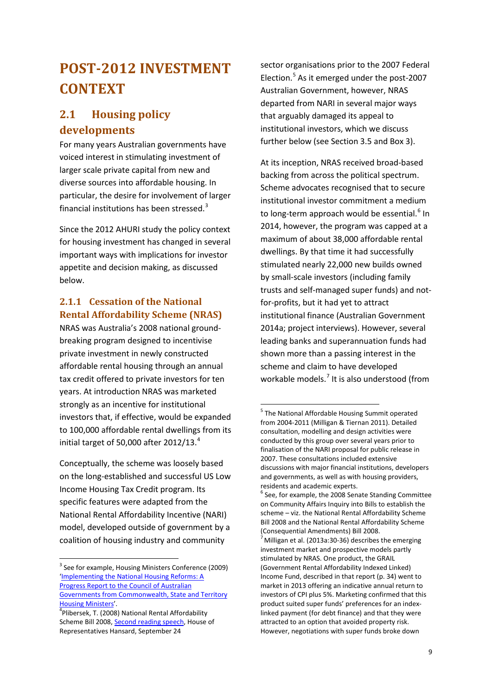# <span id="page-8-0"></span>**POST-2012 INVESTMENT CONTEXT**

## <span id="page-8-1"></span>**2.1 Housing policy developments**

For many years Australian governments have voiced interest in stimulating investment of larger scale private capital from new and diverse sources into affordable housing. In particular, the desire for involvement of larger financial institutions has been stressed.<sup>[3](#page-8-3)</sup>

Since the 2012 AHURI study the policy context for housing investment has changed in several important ways with implications for investor appetite and decision making, as discussed below.

#### <span id="page-8-2"></span>**2.1.1 Cessation of the National Rental Affordability Scheme (NRAS)**

NRAS was Australia's 2008 national groundbreaking program designed to incentivise private investment in newly constructed affordable rental housing through an annual tax credit offered to private investors for ten years. At introduction NRAS was marketed strongly as an incentive for institutional investors that, if effective, would be expanded to 100,000 affordable rental dwellings from its initial target of 50,000 after 2012/13.<sup>[4](#page-8-4)</sup>

<span id="page-8-6"></span><span id="page-8-5"></span>Conceptually, the scheme was loosely based on the long-established and successful US Low Income Housing Tax Credit program. Its specific features were adapted from the National Rental Affordability Incentive (NARI) model, developed outside of government by a coalition of housing industry and community

sector organisations prior to the 2007 Federal Election. [5](#page-8-5) As it emerged under the post-2007 Australian Government, however, NRAS departed from NARI in several major ways that arguably damaged its appeal to institutional investors, which we discuss further below (see Section 3.5 and Box 3).

At its inception, NRAS received broad-based backing from across the political spectrum. Scheme advocates recognised that to secure institutional investor commitment a medium to long-term approach would be essential.<sup>[6](#page-8-6)</sup> In 2014, however, the program was capped at a maximum of about 38,000 affordable rental dwellings. By that time it had successfully stimulated nearly 22,000 new builds owned by small-scale investors (including family trusts and self-managed super funds) and notfor-profits, but it had yet to attract institutional finance (Australian Government 2014a; project interviews). However, several leading banks and superannuation funds had shown more than a passing interest in the scheme and claim to have developed workable models.<sup>[7](#page-8-7)</sup> It is also understood (from

<span id="page-8-7"></span><span id="page-8-3"></span><sup>&</sup>lt;sup>3</sup> See for example, Housing Ministers Conference (2009) ['Implementing the National Housing Reforms: A](https://www.coag.gov.au/node/91)  [Progress Report to the Council of Australian](https://www.coag.gov.au/node/91)  [Governments from Commonwealth, State and Territory](https://www.coag.gov.au/node/91)  [Housing Ministers'](https://www.coag.gov.au/node/91). <sup>4</sup>

<span id="page-8-4"></span><sup>&</sup>lt;sup>4</sup>Plibersek, T. (2008) National Rental Affordability Scheme Bill 2008[, Second reading speech,](http://parlinfo.aph.gov.au/parlInfo/genpdf/chamber/hansardr/2008-09-24/0019/hansard_frag.pdf;fileType=application%2Fpdf) House of Representatives Hansard, September 24

<sup>&</sup>lt;sup>5</sup> The National Affordable Housing Summit operated from 2004-2011 (Milligan & Tiernan 2011). Detailed consultation, modelling and design activities were conducted by this group over several years prior to finalisation of the NARI proposal for public release in 2007. These consultations included extensive discussions with major financial institutions, developers and governments, as well as with housing providers, residents and academic experts.

 $6$  See, for example, the 2008 Senate Standing Committee on Community Affairs Inquiry into Bills to establish the scheme – viz. the National Rental Affordability Scheme Bill 2008 and the National Rental Affordability Scheme (Consequential Amendments) Bill 2008.

Milligan et al. (2013a:30-36) describes the emerging investment market and prospective models partly stimulated by NRAS. One product, the GRAIL (Government Rental Affordability Indexed Linked) Income Fund, described in that report (p. 34) went to market in 2013 offering an indicative annual return to investors of CPI plus 5%. Marketing confirmed that this product suited super funds' preferences for an indexlinked payment (for debt finance) and that they were attracted to an option that avoided property risk. However, negotiations with super funds broke down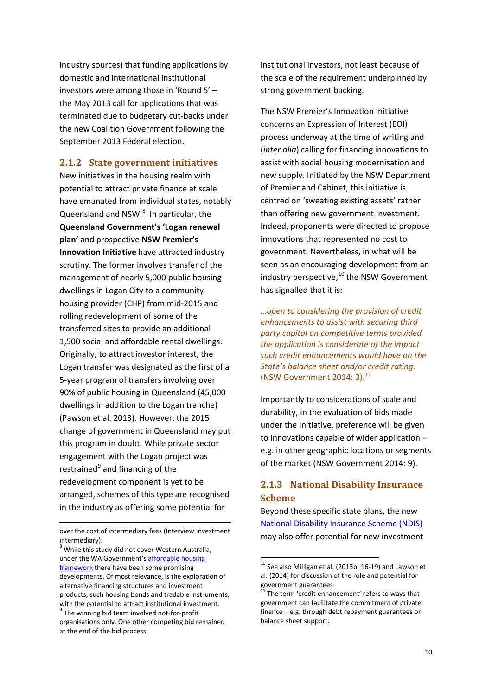industry sources) that funding applications by domestic and international institutional investors were among those in 'Round 5' – the May 2013 call for applications that was terminated due to budgetary cut-backs under the new Coalition Government following the September 2013 Federal election.

#### <span id="page-9-0"></span>**2.1.2 State government initiatives**

New initiatives in the housing realm with potential to attract private finance at scale have emanated from individual states, notably Queensland and NSW.<sup>[8](#page-9-2)</sup> In particular, the **Queensland Government's 'Logan renewal plan'** and prospective **NSW Premier's Innovation Initiative** have attracted industry scrutiny. The former involves transfer of the management of nearly 5,000 public housing dwellings in Logan City to a community housing provider (CHP) from mid-2015 and rolling redevelopment of some of the transferred sites to provide an additional 1,500 social and affordable rental dwellings. Originally, to attract investor interest, the Logan transfer was designated as the first of a 5-year program of transfers involving over 90% of public housing in Queensland (45,000 dwellings in addition to the Logan tranche) (Pawson et al. 2013). However, the 2015 change of government in Queensland may put this program in doubt. While private sector engagement with the Logan project was restrained $9$  and financing of the redevelopment component is yet to be arranged, schemes of this type are recognised in the industry as offering some potential for

**.** 

institutional investors, not least because of the scale of the requirement underpinned by strong government backing.

The NSW Premier's Innovation Initiative concerns an Expression of Interest (EOI) process underway at the time of writing and (*inter alia*) calling for financing innovations to assist with social housing modernisation and new supply. Initiated by the NSW Department of Premier and Cabinet, this initiative is centred on 'sweating existing assets' rather than offering new government investment. Indeed, proponents were directed to propose innovations that represented no cost to government. Nevertheless, in what will be seen as an encouraging development from an industry perspective,<sup>[10](#page-9-4)</sup> the NSW Government has signalled that it is:

*…open to considering the provision of credit enhancements to assist with securing third party capital on competitive terms provided the application is considerate of the impact such credit enhancements would have on the State's balance sheet and/or credit rating.* (NSW Government  $2014:3$ ). $^{11}$  $^{11}$  $^{11}$ 

Importantly to considerations of scale and durability, in the evaluation of bids made under the Initiative, preference will be given to innovations capable of wider application – e.g. in other geographic locations or segments of the market (NSW Government 2014: 9).

### <span id="page-9-1"></span>**2.1.3 National Disability Insurance Scheme**

Beyond these specific state plans, the new [National Disability Insurance Scheme \(NDIS\)](http://www.ndis.gov.au/) may also offer potential for new investment

over the cost of intermediary fees (Interview investment intermediary).

<span id="page-9-5"></span><span id="page-9-4"></span><span id="page-9-3"></span><span id="page-9-2"></span><sup>&</sup>lt;sup>8</sup> While this study did not cover Western Australia, under the WA Government'[s affordable housing](http://www.housing.wa.gov.au/aboutus/AffordableHousingStrategy/Pages/default.aspx)  [framework](http://www.housing.wa.gov.au/aboutus/AffordableHousingStrategy/Pages/default.aspx) there have been some promising developments. Of most relevance, is the exploration of alternative financing structures and investment products, such housing bonds and tradable instruments, with the potential to attract institutional investment.  $9$  The winning bid team involved not-for-profit organisations only. One other competing bid remained at the end of the bid process.

 $10$  See also Milligan et al. (2013b: 16-19) and Lawson et al. (2014) for discussion of the role and potential for government guarantees

 $11$  The term 'credit enhancement' refers to ways that government can facilitate the commitment of private finance – e.g. through debt repayment guarantees or balance sheet support.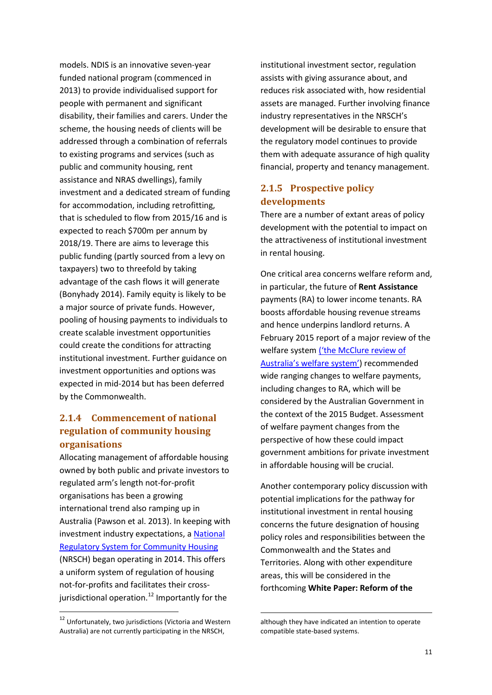models. NDIS is an innovative seven-year funded national program (commenced in 2013) to provide individualised support for people with permanent and significant disability, their families and carers. Under the scheme, the housing needs of clients will be addressed through a combination of referrals to existing programs and services (such as public and community housing, rent assistance and NRAS dwellings), family investment and a dedicated stream of funding for accommodation, including retrofitting, that is scheduled to flow from 2015/16 and is expected to reach \$700m per annum by 2018/19. There are aims to leverage this public funding (partly sourced from a levy on taxpayers) two to threefold by taking advantage of the cash flows it will generate (Bonyhady 2014). Family equity is likely to be a major source of private funds. However, pooling of housing payments to individuals to create scalable investment opportunities could create the conditions for attracting institutional investment. Further guidance on investment opportunities and options was expected in mid-2014 but has been deferred by the Commonwealth.

#### <span id="page-10-0"></span>**2.1.4 Commencement of national regulation of community housing organisations**

Allocating management of affordable housing owned by both public and private investors to regulated arm's length not-for-profit organisations has been a growing international trend also ramping up in Australia (Pawson et al. 2013). In keeping with investment industry expectations, a National [Regulatory System for Community Housing](http://www.nrsch.gov.au/) (NRSCH) began operating in 2014. This offers a uniform system of regulation of housing not-for-profits and facilitates their cross-jurisdictional operation.<sup>[12](#page-10-2)</sup> Importantly for the

institutional investment sector, regulation assists with giving assurance about, and reduces risk associated with, how residential assets are managed. Further involving finance industry representatives in the NRSCH's development will be desirable to ensure that the regulatory model continues to provide them with adequate assurance of high quality financial, property and tenancy management.

#### <span id="page-10-1"></span>**2.1.5 Prospective policy developments**

There are a number of extant areas of policy development with the potential to impact on the attractiveness of institutional investment in rental housing.

One critical area concerns welfare reform and, in particular, the future of **Rent Assistance** payments (RA) to lower income tenants. RA boosts affordable housing revenue streams and hence underpins landlord returns. A February 2015 report of a major review of the welfare syste[m \('the McClure review of](https://www.dss.gov.au/our-responsibilities/review-of-australias-welfare-system)  [Australia's welfare system'\)](https://www.dss.gov.au/our-responsibilities/review-of-australias-welfare-system) recommended wide ranging changes to welfare payments, including changes to RA, which will be considered by the Australian Government in the context of the 2015 Budget. Assessment of welfare payment changes from the perspective of how these could impact government ambitions for private investment in affordable housing will be crucial.

Another contemporary policy discussion with potential implications for the pathway for institutional investment in rental housing concerns the future designation of housing policy roles and responsibilities between the Commonwealth and the States and Territories. Along with other expenditure areas, this will be considered in the forthcoming **White Paper: Reform of the** 

1

<span id="page-10-2"></span> <sup>12</sup> Unfortunately, two jurisdictions (Victoria and Western Australia) are not currently participating in the NRSCH,

although they have indicated an intention to operate compatible state-based systems.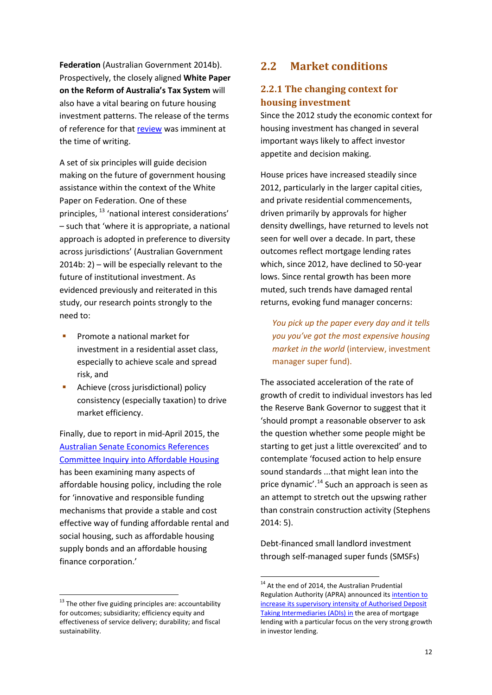**Federation** (Australian Government 2014b). Prospectively, the closely aligned **White Paper on the Reform of Australia's Tax System** will also have a vital bearing on future housing investment patterns. The release of the terms of reference for that [review](http://www.afr.com/p/national/tax_white_paper_calls_for_urgent_O86gWE7hkKvs9qy7wZJGQK) was imminent at the time of writing.

A set of six principles will guide decision making on the future of government housing assistance within the context of the White Paper on Federation. One of these principles, [13](#page-11-2) 'national interest considerations' – such that 'where it is appropriate, a national approach is adopted in preference to diversity across jurisdictions' (Australian Government 2014b: 2) – will be especially relevant to the future of institutional investment. As evidenced previously and reiterated in this study, our research points strongly to the need to:

- Promote a national market for investment in a residential asset class, especially to achieve scale and spread risk, and
- Achieve (cross jurisdictional) policy consistency (especially taxation) to drive market efficiency.

Finally, due to report in mid-April 2015, the Australian [Senate Economics References](http://www.aph.gov.au/parliamentary_business/committees/senate/economics/affordable_housing_2013) [Committee Inquiry into](http://www.aph.gov.au/parliamentary_business/committees/senate/economics/affordable_housing_2013) Affordable Housing has been examining many aspects of affordable housing policy, including the role for 'innovative and responsible funding mechanisms that provide a stable and cost effective way of funding affordable rental and social housing, such as affordable housing supply bonds and an affordable housing finance corporation.'

## <span id="page-11-0"></span>**2.2 Market conditions**

#### <span id="page-11-1"></span>**2.2.1 The changing context for housing investment**

Since the 2012 study the economic context for housing investment has changed in several important ways likely to affect investor appetite and decision making.

House prices have increased steadily since 2012, particularly in the larger capital cities, and private residential commencements, driven primarily by approvals for higher density dwellings, have returned to levels not seen for well over a decade. In part, these outcomes reflect mortgage lending rates which, since 2012, have declined to 50-year lows. Since rental growth has been more muted, such trends have damaged rental returns, evoking fund manager concerns:

*You pick up the paper every day and it tells you you've got the most expensive housing market in the world* (interview, investment manager super fund).

The associated acceleration of the rate of growth of credit to individual investors has led the Reserve Bank Governor to suggest that it 'should prompt a reasonable observer to ask the question whether some people might be starting to get just a little overexcited' and to contemplate 'focused action to help ensure sound standards ...that might lean into the price dynamic'.<sup>[14](#page-11-3)</sup> Such an approach is seen as an attempt to stretch out the upswing rather than constrain construction activity (Stephens 2014: 5).

Debt-financed small landlord investment through self-managed super funds (SMSFs)

<span id="page-11-3"></span><span id="page-11-2"></span> $13$  The other five guiding principles are: accountability for outcomes; subsidiarity; efficiency equity and effectiveness of service delivery; durability; and fiscal sustainability.

<sup>&</sup>lt;sup>14</sup> At the end of 2014, the Australian Prudential Regulation Authority (APRA) announced its *intention to* [increase its supervisory intensity of Authorised Deposit](http://www.apra.gov.au/adi/Publications/Documents/141209-Letter-to-ADIs-reinforcing-sound-residential-mortgage-lending-practices.pdf)  [Taking Intermediaries \(ADIs\) in](http://www.apra.gov.au/adi/Publications/Documents/141209-Letter-to-ADIs-reinforcing-sound-residential-mortgage-lending-practices.pdf) the area of mortgage lending with a particular focus on the very strong growth in investor lending.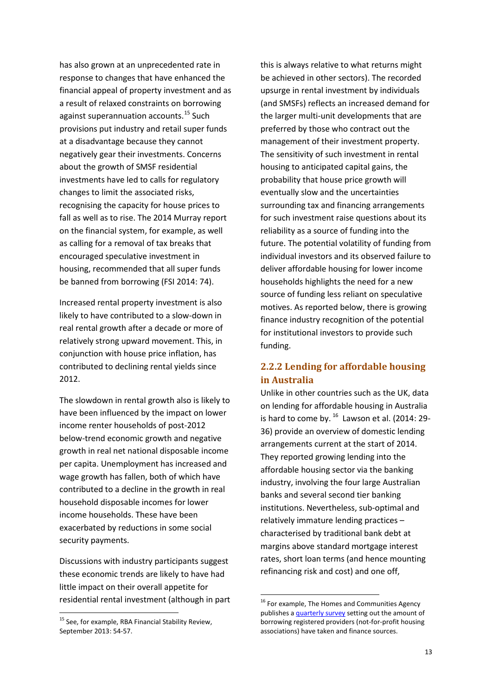has also grown at an unprecedented rate in response to changes that have enhanced the financial appeal of property investment and as a result of relaxed constraints on borrowing against superannuation accounts.<sup>[15](#page-12-1)</sup> Such provisions put industry and retail super funds at a disadvantage because they cannot negatively gear their investments. Concerns about the growth of SMSF residential investments have led to calls for regulatory changes to limit the associated risks, recognising the capacity for house prices to fall as well as to rise. The 2014 Murray report on the financial system, for example, as well as calling for a removal of tax breaks that encouraged speculative investment in housing, recommended that all super funds be banned from borrowing (FSI 2014: 74).

Increased rental property investment is also likely to have contributed to a slow-down in real rental growth after a decade or more of relatively strong upward movement. This, in conjunction with house price inflation, has contributed to declining rental yields since 2012.

The slowdown in rental growth also is likely to have been influenced by the impact on lower income renter households of post-2012 below-trend economic growth and negative growth in real net national disposable income per capita. Unemployment has increased and wage growth has fallen, both of which have contributed to a decline in the growth in real household disposable incomes for lower income households. These have been exacerbated by reductions in some social security payments.

Discussions with industry participants suggest these economic trends are likely to have had little impact on their overall appetite for residential rental investment (although in part

this is always relative to what returns might be achieved in other sectors). The recorded upsurge in rental investment by individuals (and SMSFs) reflects an increased demand for the larger multi-unit developments that are preferred by those who contract out the management of their investment property. The sensitivity of such investment in rental housing to anticipated capital gains, the probability that house price growth will eventually slow and the uncertainties surrounding tax and financing arrangements for such investment raise questions about its reliability as a source of funding into the future. The potential volatility of funding from individual investors and its observed failure to deliver affordable housing for lower income households highlights the need for a new source of funding less reliant on speculative motives. As reported below, there is growing finance industry recognition of the potential for institutional investors to provide such funding.

### <span id="page-12-0"></span>**2.2.2 Lending for affordable housing in Australia**

Unlike in other countries such as the UK, data on lending for affordable housing in Australia is hard to come by.  $^{16}$  $^{16}$  $^{16}$  Lawson et al. (2014: 29-36) provide an overview of domestic lending arrangements current at the start of 2014. They reported growing lending into the affordable housing sector via the banking industry, involving the four large Australian banks and several second tier banking institutions. Nevertheless, sub-optimal and relatively immature lending practices – characterised by traditional bank debt at margins above standard mortgage interest rates, short loan terms (and hence mounting refinancing risk and cost) and one off,

<span id="page-12-2"></span><span id="page-12-1"></span><sup>&</sup>lt;sup>15</sup> See, for example, RBA Financial Stability Review, September 2013: 54-57.

<sup>&</sup>lt;sup>16</sup> For example, The Homes and Communities Agency publishes [a quarterly survey](https://www.gov.uk/government/publications/quarterly-survey-for-q2-july-to-september-2014-to-2015) setting out the amount of borrowing registered providers (not-for-profit housing associations) have taken and finance sources.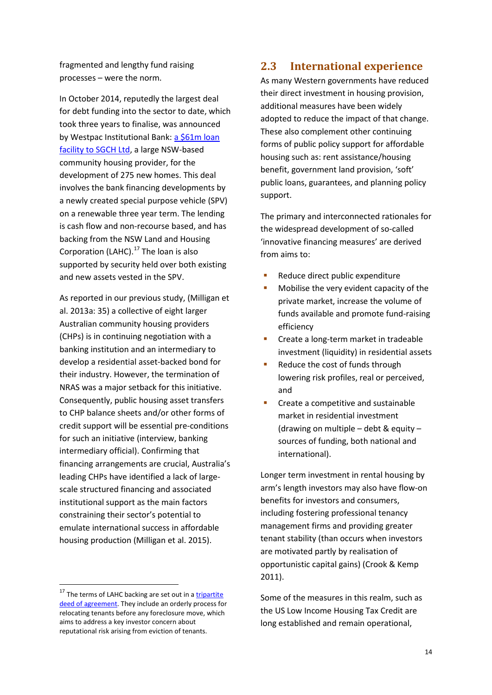fragmented and lengthy fund raising processes – were the norm.

In October 2014, reputedly the largest deal for debt funding into the sector to date, which took three years to finalise, was announced by Westpac Institutional Bank: a \$61m loan [facility to SGCH Ltd,](http://www.theaustralian.com.au/national-affairs/state-politics/westpacs-2bn-to-help-public-housing-turn-private/story-e6frgczx-1227100339486) a large NSW-based community housing provider, for the development of 275 new homes. This deal involves the bank financing developments by a newly created special purpose vehicle (SPV) on a renewable three year term. The lending is cash flow and non-recourse based, and has backing from the NSW Land and Housing Corporation (LAHC). $^{17}$  $^{17}$  $^{17}$  The loan is also supported by security held over both existing and new assets vested in the SPV.

As reported in our previous study, (Milligan et al. 2013a: 35) a collective of eight larger Australian community housing providers (CHPs) is in continuing negotiation with a banking institution and an intermediary to develop a residential asset-backed bond for their industry. However, the termination of NRAS was a major setback for this initiative. Consequently, public housing asset transfers to CHP balance sheets and/or other forms of credit support will be essential pre-conditions for such an initiative (interview, banking intermediary official). Confirming that financing arrangements are crucial, Australia's leading CHPs have identified a lack of largescale structured financing and associated institutional support as the main factors constraining their sector's potential to emulate international success in affordable housing production (Milligan et al. 2015).

### <span id="page-13-0"></span>**2.3 International experience**

As many Western governments have reduced their direct investment in housing provision, additional measures have been widely adopted to reduce the impact of that change. These also complement other continuing forms of public policy support for affordable housing such as: rent assistance/housing benefit, government land provision, 'soft' public loans, guarantees, and planning policy support.

The primary and interconnected rationales for the widespread development of so-called 'innovative financing measures' are derived from aims to:

- Reduce direct public expenditure
- Mobilise the very evident capacity of the private market, increase the volume of funds available and promote fund-raising efficiency
- Create a long-term market in tradeable investment (liquidity) in residential assets
- Reduce the cost of funds through lowering risk profiles, real or perceived, and
- Create a competitive and sustainable market in residential investment (drawing on multiple – debt & equity – sources of funding, both national and international).

Longer term investment in rental housing by arm's length investors may also have flow-on benefits for investors and consumers, including fostering professional tenancy management firms and providing greater tenant stability (than occurs when investors are motivated partly by realisation of opportunistic capital gains) (Crook & Kemp 2011).

Some of the measures in this realm, such as the US Low Income Housing Tax Credit are long established and remain operational,

<span id="page-13-1"></span> $17$  The terms of LAHC backing are set out in a  $tripartite$ </u> [deed of agreement.](http://www.housing.nsw.gov.au/NR/rdonlyres/F965C234-4CC4-4E88-8414-C79C5D3991AC/0/AgreementTripartiteDeedNationalRegulationChanges.pdf) They include an orderly process for relocating tenants before any foreclosure move, which aims to address a key investor concern about reputational risk arising from eviction of tenants.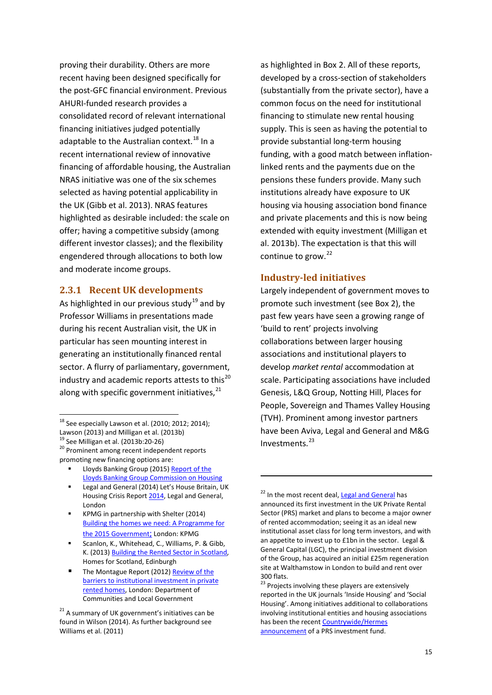proving their durability. Others are more recent having been designed specifically for the post-GFC financial environment. Previous AHURI-funded research provides a consolidated record of relevant international financing initiatives judged potentially adaptable to the Australian context.<sup>[18](#page-14-2)</sup> In a recent international review of innovative financing of affordable housing, the Australian NRAS initiative was one of the six schemes selected as having potential applicability in the UK (Gibb et al. 2013). NRAS features highlighted as desirable included: the scale on offer; having a competitive subsidy (among different investor classes); and the flexibility engendered through allocations to both low and moderate income groups.

#### <span id="page-14-0"></span>**2.3.1 Recent UK developments**

As highlighted in our previous study<sup>[19](#page-14-3)</sup> and by Professor Williams in presentations made during his recent Australian visit, the UK in particular has seen mounting interest in generating an institutionally financed rental sector. A flurry of parliamentary, government, industry and academic reports attests to this $^{20}$  $^{20}$  $^{20}$ along with specific government initiatives,<sup>[21](#page-14-5)</sup>

- Lloyds Banking Group (2015[\) Report of the](http://www.lloydsbankinggroup.com/globalassets/documents/media/press-releases/lloyds-banking-group/2015/150128-housing_commission_report.pdf)  [Lloyds Banking Group Commission on Housing](http://www.lloydsbankinggroup.com/globalassets/documents/media/press-releases/lloyds-banking-group/2015/150128-housing_commission_report.pdf)
- <span id="page-14-6"></span> Legal and General (2014) Let's House Britain, UK Housing Crisis Repor[t 2014,](http://www.lgim.com/library/property/lets_house_britain_report.pdf) Legal and General, London
- KPMG in partnership with Shelter (2014) [Building the homes we need: A Programme for](http://www.shelter.org.uk/__data/assets/pdf_file/0019/802270/Building_the_homes_we_need_-_a_programme_for_the_2015_government.pdf)  [the 2015 Government;](http://www.shelter.org.uk/__data/assets/pdf_file/0019/802270/Building_the_homes_we_need_-_a_programme_for_the_2015_government.pdf) London: KPMG
- Scanlon, K., Whitehead, C., Williams, P. & Gibb, K. (2013[\) Building the Rented Sector in Scotland,](http://www.homesforscotland.com/Portals/HomesForScotland/BRS/BRS%20Report_v6.pdf) Homes for Scotland, Edinburgh
- The Montague Report (2012) Review of the [barriers to institutional investment in private](https://www.gov.uk/government/uploads/system/uploads/attachment_data/file/15547/montague_review.pdf)  [rented homes,](https://www.gov.uk/government/uploads/system/uploads/attachment_data/file/15547/montague_review.pdf) London: Department of Communities and Local Government

as highlighted in Box 2. All of these reports, developed by a cross-section of stakeholders (substantially from the private sector), have a common focus on the need for institutional financing to stimulate new rental housing supply. This is seen as having the potential to provide substantial long-term housing funding, with a good match between inflationlinked rents and the payments due on the pensions these funders provide. Many such institutions already have exposure to UK housing via housing association bond finance and private placements and this is now being extended with equity investment (Milligan et al. 2013b). The expectation is that this will continue to grow.<sup>[22](#page-14-6)</sup>

#### <span id="page-14-1"></span>**Industry-led initiatives**

1

Largely independent of government moves to promote such investment (see Box 2), the past few years have seen a growing range of 'build to rent' projects involving collaborations between larger housing associations and institutional players to develop *market rental* accommodation at scale. Participating associations have included Genesis, L&Q Group, Notting Hill, Places for People, Sovereign and Thames Valley Housing (TVH). Prominent among investor partners have been Aviva, Legal and General and M&G Investments. [23](#page-14-7)

<span id="page-14-2"></span> $18$  See especially Lawson et al. (2010; 2012; 2014); Lawson (2013) and Milligan et al. (2013b)<br> $^{19}$  See Milligan et al. (2013b:20-26)

<span id="page-14-4"></span><span id="page-14-3"></span><sup>&</sup>lt;sup>20</sup> Prominent among recent independent reports promoting new financing options are:

<span id="page-14-7"></span><span id="page-14-5"></span> $21$  A summary of UK government's initiatives can be found in Wilson (2014). As further background see Williams et al. (2011)

<sup>&</sup>lt;sup>22</sup> In the most recent deal, [Legal and General](http://files.shareholder.com/downloads/LGEN/4049282404x0x812066/D69501F3-9AF5-483D-BEA2-0265ADCB9C73/PRS_LGC_Walthamstow_Final.pdf) has announced its first investment in the UK Private Rental Sector (PRS) market and plans to become a major owner of rented accommodation; seeing it as an ideal new institutional asset class for long term investors, and with an appetite to invest up to £1bn in the sector. Legal & General Capital (LGC), the principal investment division of the Group, has acquired an initial £25m regeneration site at Walthamstow in London to build and rent over 300 flats.

<sup>&</sup>lt;sup>23</sup> Projects involving these players are extensively reported in the UK journals 'Inside Housing' and 'Social Housing'. Among initiatives additional to collaborations involving institutional entities and housing associations has been the recent Countrywide/Hermes [announcement](http://www.countrywide.co.uk/news/2014/countrywide-and-hermes-partner-in-order-to-create-the-uk-s-pre-eminent-residential-property-fund/) of a PRS investment fund.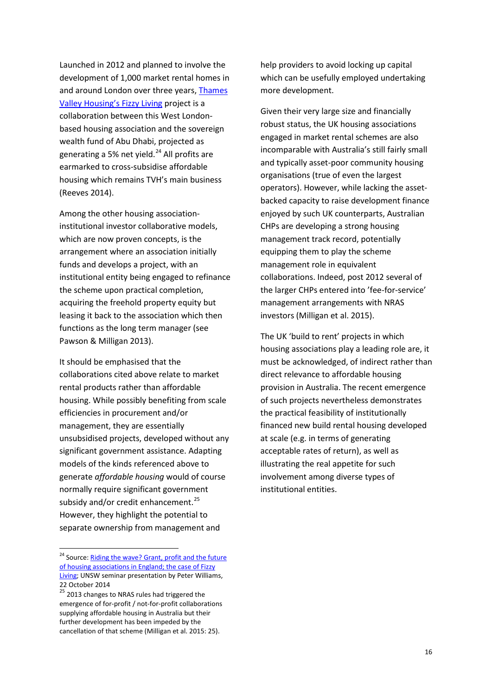Launched in 2012 and planned to involve the development of 1,000 market rental homes in and around London over three years[, Thames](https://www.be.unsw.edu.au/content/seminar-riding-wave-grant-profit-and-future-housing-associations-england-case-fizzy-living)  [Valley Housing's Fizzy Living](https://www.be.unsw.edu.au/content/seminar-riding-wave-grant-profit-and-future-housing-associations-england-case-fizzy-living) project is a collaboration between this West Londonbased housing association and the sovereign wealth fund of Abu Dhabi, projected as generating a 5% net yield. [24](#page-15-0) All profits are earmarked to cross-subsidise affordable housing which remains TVH's main business (Reeves 2014).

Among the other housing associationinstitutional investor collaborative models, which are now proven concepts, is the arrangement where an association initially funds and develops a project, with an institutional entity being engaged to refinance the scheme upon practical completion, acquiring the freehold property equity but leasing it back to the association which then functions as the long term manager (see Pawson & Milligan 2013).

It should be emphasised that the collaborations cited above relate to market rental products rather than affordable housing. While possibly benefiting from scale efficiencies in procurement and/or management, they are essentially unsubsidised projects, developed without any significant government assistance. Adapting models of the kinds referenced above to generate *affordable housing* would of course normally require significant government subsidy and/or credit enhancement.<sup>[25](#page-15-1)</sup> However, they highlight the potential to separate ownership from management and

help providers to avoid locking up capital which can be usefully employed undertaking more development.

Given their very large size and financially robust status, the UK housing associations engaged in market rental schemes are also incomparable with Australia's still fairly small and typically asset-poor community housing organisations (true of even the largest operators). However, while lacking the assetbacked capacity to raise development finance enjoyed by such UK counterparts, Australian CHPs are developing a strong housing management track record, potentially equipping them to play the scheme management role in equivalent collaborations. Indeed, post 2012 several of the larger CHPs entered into 'fee-for-service' management arrangements with NRAS investors (Milligan et al. 2015).

The UK 'build to rent' projects in which housing associations play a leading role are, it must be acknowledged, of indirect rather than direct relevance to affordable housing provision in Australia. The recent emergence of such projects nevertheless demonstrates the practical feasibility of institutionally financed new build rental housing developed at scale (e.g. in terms of generating acceptable rates of return), as well as illustrating the real appetite for such involvement among diverse types of institutional entities.

<span id="page-15-0"></span><sup>&</sup>lt;sup>24</sup> Source: Riding the wave? Grant, profit and the future [of housing associations in England; the case of Fizzy](https://www.be.unsw.edu.au/content/seminar-riding-wave-grant-profit-and-future-housing-associations-england-case-fizzy-living)  [Living;](https://www.be.unsw.edu.au/content/seminar-riding-wave-grant-profit-and-future-housing-associations-england-case-fizzy-living) UNSW seminar presentation by Peter Williams, 22 October 2014

<span id="page-15-1"></span><sup>25 2013</sup> changes to NRAS rules had triggered the emergence of for-profit / not-for-profit collaborations supplying affordable housing in Australia but their further development has been impeded by the cancellation of that scheme (Milligan et al. 2015: 25).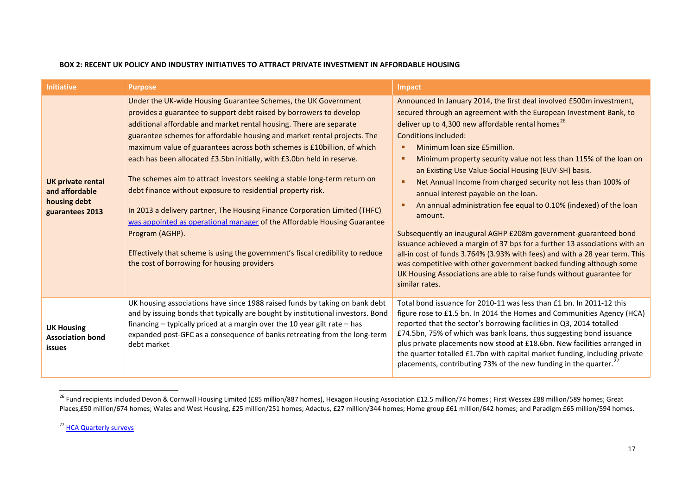#### <span id="page-16-1"></span><span id="page-16-0"></span>**BOX 2: RECENT UK POLICY AND INDUSTRY INITIATIVES TO ATTRACT PRIVATE INVESTMENT IN AFFORDABLE HOUSING**

| <b>Initiative</b>                                                             | <b>Purpose</b>                                                                                                                                                                                                                                                                                                                                                                                                                                                                                                                                                                                                                                                                                                                                                                                                                                                                                          | <b>Impact</b>                                                                                                                                                                                                                                                                                                                                                                                                                                                                                                                                                                                                                                                                                                                                                                                                                                                                                                                                                                                                     |
|-------------------------------------------------------------------------------|---------------------------------------------------------------------------------------------------------------------------------------------------------------------------------------------------------------------------------------------------------------------------------------------------------------------------------------------------------------------------------------------------------------------------------------------------------------------------------------------------------------------------------------------------------------------------------------------------------------------------------------------------------------------------------------------------------------------------------------------------------------------------------------------------------------------------------------------------------------------------------------------------------|-------------------------------------------------------------------------------------------------------------------------------------------------------------------------------------------------------------------------------------------------------------------------------------------------------------------------------------------------------------------------------------------------------------------------------------------------------------------------------------------------------------------------------------------------------------------------------------------------------------------------------------------------------------------------------------------------------------------------------------------------------------------------------------------------------------------------------------------------------------------------------------------------------------------------------------------------------------------------------------------------------------------|
| <b>UK private rental</b><br>and affordable<br>housing debt<br>guarantees 2013 | Under the UK-wide Housing Guarantee Schemes, the UK Government<br>provides a guarantee to support debt raised by borrowers to develop<br>additional affordable and market rental housing. There are separate<br>guarantee schemes for affordable housing and market rental projects. The<br>maximum value of guarantees across both schemes is £10billion, of which<br>each has been allocated £3.5bn initially, with £3.0bn held in reserve.<br>The schemes aim to attract investors seeking a stable long-term return on<br>debt finance without exposure to residential property risk.<br>In 2013 a delivery partner, The Housing Finance Corporation Limited (THFC)<br>was appointed as operational manager of the Affordable Housing Guarantee<br>Program (AGHP).<br>Effectively that scheme is using the government's fiscal credibility to reduce<br>the cost of borrowing for housing providers | Announced In January 2014, the first deal involved £500m investment,<br>secured through an agreement with the European Investment Bank, to<br>deliver up to 4,300 new affordable rental homes <sup>26</sup><br><b>Conditions included:</b><br>Minimum Ioan size £5 million.<br>п<br>Minimum property security value not less than 115% of the loan on<br>г<br>an Existing Use Value-Social Housing (EUV-SH) basis.<br>Net Annual Income from charged security not less than 100% of<br>п<br>annual interest payable on the loan.<br>An annual administration fee equal to 0.10% (indexed) of the loan<br>amount.<br>Subsequently an inaugural AGHP £208m government-guaranteed bond<br>issuance achieved a margin of 37 bps for a further 13 associations with an<br>all-in cost of funds 3.764% (3.93% with fees) and with a 28 year term. This<br>was competitive with other government backed funding although some<br>UK Housing Associations are able to raise funds without guarantee for<br>similar rates. |
| <b>UK Housing</b><br><b>Association bond</b><br>issues                        | UK housing associations have since 1988 raised funds by taking on bank debt<br>and by issuing bonds that typically are bought by institutional investors. Bond<br>financing $-$ typically priced at a margin over the 10 year gilt rate $-$ has<br>expanded post-GFC as a consequence of banks retreating from the long-term<br>debt market                                                                                                                                                                                                                                                                                                                                                                                                                                                                                                                                                             | Total bond issuance for 2010-11 was less than £1 bn. In 2011-12 this<br>figure rose to £1.5 bn. In 2014 the Homes and Communities Agency (HCA)<br>reported that the sector's borrowing facilities in Q3, 2014 totalled<br>£74.5bn, 75% of which was bank loans, thus suggesting bond issuance<br>plus private placements now stood at £18.6bn. New facilities arranged in<br>the quarter totalled £1.7bn with capital market funding, including private<br>placements, contributing 73% of the new funding in the quarter.                                                                                                                                                                                                                                                                                                                                                                                                                                                                                        |

 $^{26}$  Fund recipients included Devon & Cornwall Housing Limited (£85 million/887 homes), Hexagon Housing Association £12.5 million/74 homes ; First Wessex £88 million/589 homes; Great Places,£50 million/674 homes; Wales and West Housing, £25 million/251 homes; Adactus, £27 million/344 homes; Home group £61 million/642 homes; and Paradigm £65 million/594 homes.

<sup>27</sup> [HCA Quarterly surveys](https://www.gov.uk/government/publications/quarterly-survey-for-q2-july-to-september-2014-to-2015)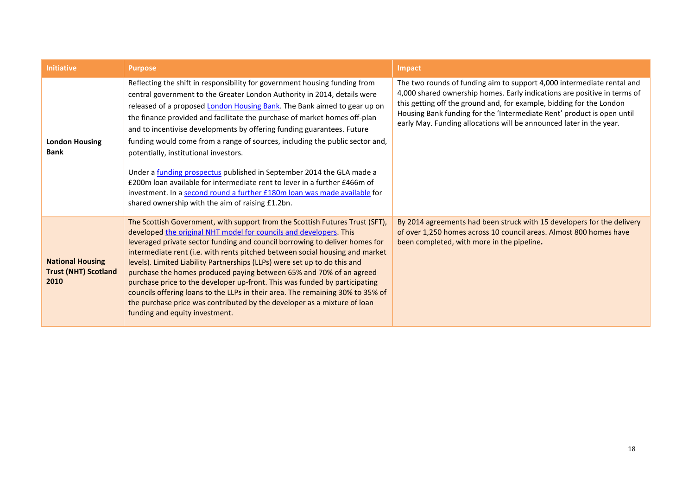| <b>Initiative</b>                                              | <b>Purpose</b>                                                                                                                                                                                                                                                                                                                                                                                                                                                                                                                                                                                                                                                                                                                                                                                                   | Impact                                                                                                                                                                                                                                                                                                                                                                      |
|----------------------------------------------------------------|------------------------------------------------------------------------------------------------------------------------------------------------------------------------------------------------------------------------------------------------------------------------------------------------------------------------------------------------------------------------------------------------------------------------------------------------------------------------------------------------------------------------------------------------------------------------------------------------------------------------------------------------------------------------------------------------------------------------------------------------------------------------------------------------------------------|-----------------------------------------------------------------------------------------------------------------------------------------------------------------------------------------------------------------------------------------------------------------------------------------------------------------------------------------------------------------------------|
| <b>London Housing</b><br><b>Bank</b>                           | Reflecting the shift in responsibility for government housing funding from<br>central government to the Greater London Authority in 2014, details were<br>released of a proposed London Housing Bank. The Bank aimed to gear up on<br>the finance provided and facilitate the purchase of market homes off-plan<br>and to incentivise developments by offering funding guarantees. Future<br>funding would come from a range of sources, including the public sector and,<br>potentially, institutional investors.<br>Under a <i>funding prospectus</i> published in September 2014 the GLA made a<br>£200m loan available for intermediate rent to lever in a further £466m of<br>investment. In a second round a further £180m loan was made available for<br>shared ownership with the aim of raising £1.2bn. | The two rounds of funding aim to support 4,000 intermediate rental and<br>4,000 shared ownership homes. Early indications are positive in terms of<br>this getting off the ground and, for example, bidding for the London<br>Housing Bank funding for the 'Intermediate Rent' product is open until<br>early May. Funding allocations will be announced later in the year. |
| <b>National Housing</b><br><b>Trust (NHT) Scotland</b><br>2010 | The Scottish Government, with support from the Scottish Futures Trust (SFT),<br>developed the original NHT model for councils and developers. This<br>leveraged private sector funding and council borrowing to deliver homes for<br>intermediate rent (i.e. with rents pitched between social housing and market<br>levels). Limited Liability Partnerships (LLPs) were set up to do this and<br>purchase the homes produced paying between 65% and 70% of an agreed<br>purchase price to the developer up-front. This was funded by participating<br>councils offering loans to the LLPs in their area. The remaining 30% to 35% of<br>the purchase price was contributed by the developer as a mixture of loan<br>funding and equity investment.                                                              | By 2014 agreements had been struck with 15 developers for the delivery<br>of over 1,250 homes across 10 council areas. Almost 800 homes have<br>been completed, with more in the pipeline.                                                                                                                                                                                  |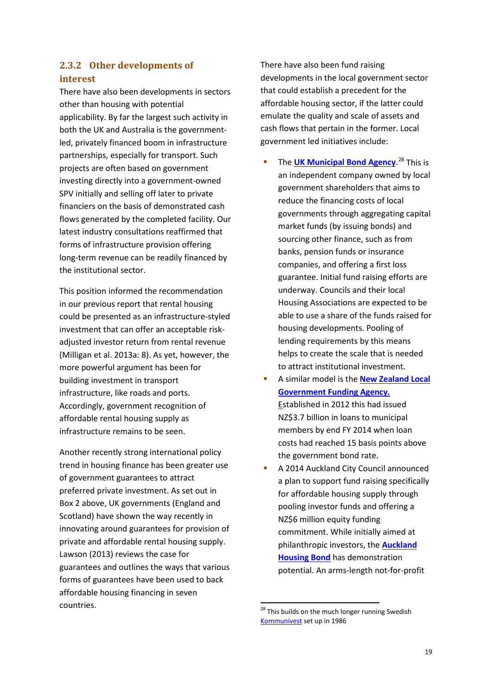#### <span id="page-18-0"></span>**2.3.2 Other developments of interest**

There have also been developments in sectors other than housing with potential applicability. By far the largest such activity in both the UK and Australia is the governmentled, privately financed boom in infrastructure partnerships, especially for transport. Such projects are often based on government investing directly into a government-owned SPV initially and selling off later to private financiers on the basis of demonstrated cash flows generated by the completed facility. Our latest industry consultations reaffirmed that forms of infrastructure provision offering long-term revenue can be readily financed by the institutional sector.

This position informed the recommendation in our previous report that rental housing could be presented as an infrastructure-styled investment that can offer an acceptable riskadjusted investor return from rental revenue (Milligan et al. 2013a: 8). As yet, however, the more powerful argument has been for building investment in transport infrastructure, like roads and ports. Accordingly, government recognition of affordable rental housing supply as infrastructure remains to be seen.

<span id="page-18-1"></span>Another recently strong international policy trend in housing finance has been greater use of government guarantees to attract preferred private investment. As set out in Box 2 above, UK governments (England and Scotland) have shown the way recently in innovating around guarantees for provision of private and affordable rental housing supply. Lawson (2013) reviews the case for guarantees and outlines the ways that various forms of guarantees have been used to back affordable housing financing in seven countries.

There have also been fund raising developments in the local government sector that could establish a precedent for the affordable housing sector, if the latter could emulate the quality and scale of assets and cash flows that pertain in the former. Local government led initiatives include:

- **The [UK Municipal Bond Agency](http://www.local.gov.uk/documents/10180/11531/Municipal+Bonds+Agency+QA+Jun+14+-+final.pdf/8ec7febc-eefb-449c-9dde-10e60f9bfb17).**<sup>[28](#page-18-1)</sup> This is an independent company owned by local government shareholders that aims to reduce the financing costs of local governments through aggregating capital market funds (by issuing bonds) and sourcing other finance, such as from banks, pension funds or insurance companies, and offering a first loss guarantee. Initial fund raising efforts are underway. Councils and their local Housing Associations are expected to be able to use a share of the funds raised for housing developments. Pooling of lending requirements by this means helps to create the scale that is needed to attract institutional investment.
- A similar model is the **[New Zealand Local](http://www.lgfa.co.nz/files/documents/1406%20LGFA%20Annual%20Report%20FINAL.pdf)  [Government Funding Agency.](http://www.lgfa.co.nz/files/documents/1406%20LGFA%20Annual%20Report%20FINAL.pdf)**  Established in 2012 this had issued NZ\$3.7 billion in loans to municipal members by end FY 2014 when loan costs had reached 15 basis points above the government bond rate.
- A 2014 Auckland City Council announced a plan to support fund raising specifically for affordable housing supply through pooling investor funds and offering a NZ\$6 million equity funding commitment. While initially aimed at philanthropic investors, the **[Auckland](http://communityhousing.org.nz/files/6914/1893/8074/Housing_Bonds_FAQ_Dec2014.pdf)  [Housing Bond](http://communityhousing.org.nz/files/6914/1893/8074/Housing_Bonds_FAQ_Dec2014.pdf)** has demonstration potential. An arms-length not-for-profit

<sup>&</sup>lt;sup>28</sup> This builds on the much longer running Swedish [Kommunivest](http://www.kommuninvest.org/) set up in 1986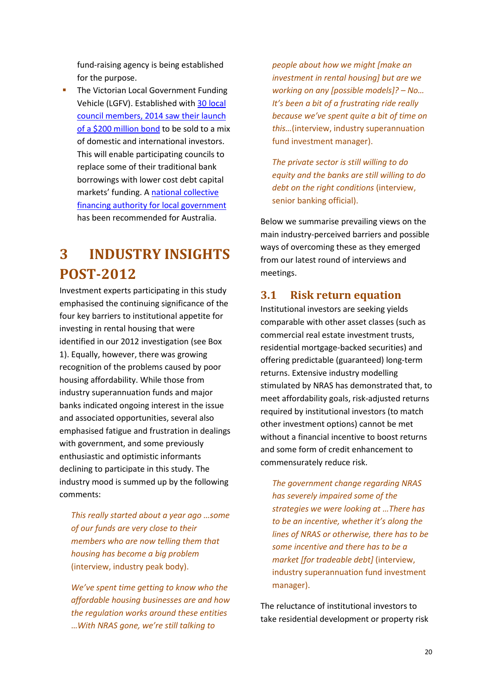fund-raising agency is being established for the purpose.

**The Victorian Local Government Funding** Vehicle (LGFV). Established with 30 local council members, [2014 saw their](http://www.smh.com.au/business/councils-pioneer-200-million-bond-20141106-11i0bm.html) launch [of a \\$200 million bond](http://www.smh.com.au/business/councils-pioneer-200-million-bond-20141106-11i0bm.html) to be sold to a mix of domestic and international investors. This will enable participating councils to replace some of their traditional bank borrowings with lower cost debt capital markets' funding. A [national collective](http://www.regional.gov.au/local/lgifr/files/national-financing-authority-for-local-government-options-assessment-20130416.pdf)  [financing authority for local government](http://www.regional.gov.au/local/lgifr/files/national-financing-authority-for-local-government-options-assessment-20130416.pdf) has been recommended for Australia.

# <span id="page-19-0"></span>**3 INDUSTRY INSIGHTS POST-2012**

Investment experts participating in this study emphasised the continuing significance of the four key barriers to institutional appetite for investing in rental housing that were identified in our 2012 investigation (see Box 1). Equally, however, there was growing recognition of the problems caused by poor housing affordability. While those from industry superannuation funds and major banks indicated ongoing interest in the issue and associated opportunities, several also emphasised fatigue and frustration in dealings with government, and some previously enthusiastic and optimistic informants declining to participate in this study. The industry mood is summed up by the following comments:

*This really started about a year ago …some of our funds are very close to their members who are now telling them that housing has become a big problem* (interview, industry peak body).

*We've spent time getting to know who the affordable housing businesses are and how the regulation works around these entities* …*With NRAS gone, we're still talking to* 

*people about how we might [make an investment in rental housing] but are we working on any [possible models]? – No… It's been a bit of a frustrating ride really because we've spent quite a bit of time on this…*(interview, industry superannuation fund investment manager).

*The private sector is still willing to do equity and the banks are still willing to do debt on the right conditions* (interview, senior banking official).

Below we summarise prevailing views on the main industry-perceived barriers and possible ways of overcoming these as they emerged from our latest round of interviews and meetings.

## <span id="page-19-1"></span>**3.1 Risk return equation**

Institutional investors are seeking yields comparable with other asset classes (such as commercial real estate investment trusts, residential mortgage-backed securities) and offering predictable (guaranteed) long-term returns. Extensive industry modelling stimulated by NRAS has demonstrated that, to meet affordability goals, risk-adjusted returns required by institutional investors (to match other investment options) cannot be met without a financial incentive to boost returns and some form of credit enhancement to commensurately reduce risk.

*The government change regarding NRAS has severely impaired some of the strategies we were looking at …There has to be an incentive, whether it's along the lines of NRAS or otherwise, there has to be some incentive and there has to be a market [for tradeable debt]* (interview, industry superannuation fund investment manager).

The reluctance of institutional investors to take residential development or property risk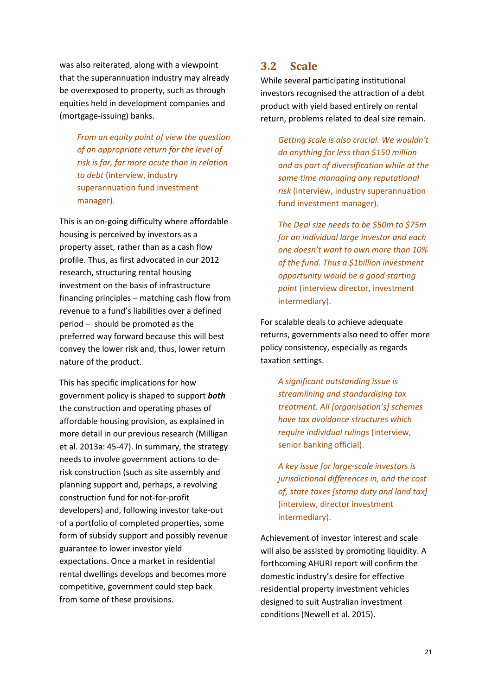was also reiterated, along with a viewpoint that the superannuation industry may already be overexposed to property, such as through equities held in development companies and (mortgage-issuing) banks.

> *From an equity point of view the question of an appropriate return for the level of risk is far, far more acute than in relation to debt* (interview, industry superannuation fund investment manager).

This is an on-going difficulty where affordable housing is perceived by investors as a property asset, rather than as a cash flow profile. Thus, as first advocated in our 2012 research, structuring rental housing investment on the basis of infrastructure financing principles – matching cash flow from revenue to a fund's liabilities over a defined period – should be promoted as the preferred way forward because this will best convey the lower risk and, thus, lower return nature of the product.

This has specific implications for how government policy is shaped to support *both* the construction and operating phases of affordable housing provision, as explained in more detail in our previous research (Milligan et al. 2013a: 45-47). In summary, the strategy needs to involve government actions to derisk construction (such as site assembly and planning support and, perhaps, a revolving construction fund for not-for-profit developers) and, following investor take-out of a portfolio of completed properties, some form of subsidy support and possibly revenue guarantee to lower investor yield expectations. Once a market in residential rental dwellings develops and becomes more competitive, government could step back from some of these provisions.

## <span id="page-20-0"></span>**3.2 Scale**

While several participating institutional investors recognised the attraction of a debt product with yield based entirely on rental return, problems related to deal size remain.

> *Getting scale is also crucial. We wouldn't do anything for less than \$150 million and as part of diversification while at the same time managing any reputational risk* (interview, industry superannuation fund investment manager).

*The Deal size needs to be \$50m to \$75m for an individual large investor and each one doesn't want to own more than 10% of the fund. Thus a \$1billion investment opportunity would be a good starting point* (interview director, investment intermediary).

For scalable deals to achieve adequate returns, governments also need to offer more policy consistency, especially as regards taxation settings.

*A significant outstanding issue is streamlining and standardising tax treatment. All [organisation's] schemes have tax avoidance structures which require individual rulings* (interview, senior banking official).

*A key issue for large-scale investors is jurisdictional differences in, and the cost of, state taxes [stamp duty and land tax]*  (interview, director investment intermediary).

Achievement of investor interest and scale will also be assisted by promoting liquidity. A forthcoming AHURI report will confirm the domestic industry's desire for effective residential property investment vehicles designed to suit Australian investment conditions (Newell et al. 2015).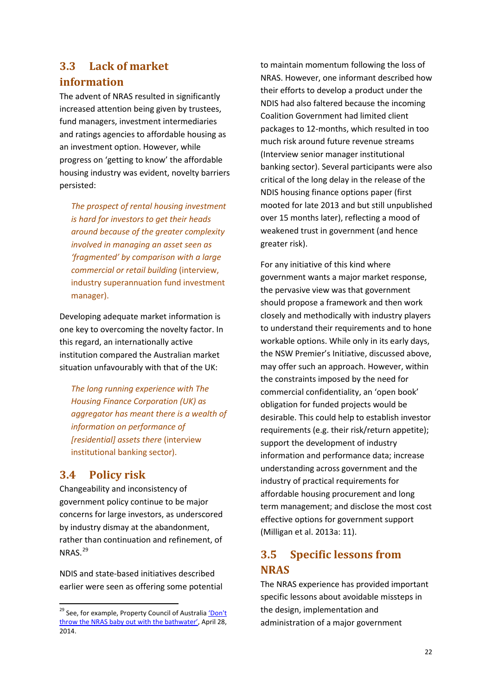## <span id="page-21-0"></span>**3.3 Lack of market information**

The advent of NRAS resulted in significantly increased attention being given by trustees, fund managers, investment intermediaries and ratings agencies to affordable housing as an investment option. However, while progress on 'getting to know' the affordable housing industry was evident, novelty barriers persisted:

*The prospect of rental housing investment is hard for investors to get their heads around because of the greater complexity involved in managing an asset seen as 'fragmented' by comparison with a large commercial or retail building* (interview, industry superannuation fund investment manager).

Developing adequate market information is one key to overcoming the novelty factor. In this regard, an internationally active institution compared the Australian market situation unfavourably with that of the UK:

*The long running experience with The Housing Finance Corporation (UK) as aggregator has meant there is a wealth of information on performance of [residential] assets there* (interview institutional banking sector).

## <span id="page-21-1"></span>**3.4 Policy risk**

Changeability and inconsistency of government policy continue to be major concerns for large investors, as underscored by industry dismay at the abandonment, rather than continuation and refinement, of NRAS. [29](#page-21-3)

NDIS and state-based initiatives described earlier were seen as offering some potential

to maintain momentum following the loss of NRAS. However, one informant described how their efforts to develop a product under the NDIS had also faltered because the incoming Coalition Government had limited client packages to 12-months, which resulted in too much risk around future revenue streams (Interview senior manager institutional banking sector). Several participants were also critical of the long delay in the release of the NDIS housing finance options paper (first mooted for late 2013 and but still unpublished over 15 months later), reflecting a mood of weakened trust in government (and hence greater risk).

For any initiative of this kind where government wants a major market response, the pervasive view was that government should propose a framework and then work closely and methodically with industry players to understand their requirements and to hone workable options. While only in its early days, the NSW Premier's Initiative, discussed above, may offer such an approach. However, within the constraints imposed by the need for commercial confidentiality, an 'open book' obligation for funded projects would be desirable. This could help to establish investor requirements (e.g. their risk/return appetite); support the development of industry information and performance data; increase understanding across government and the industry of practical requirements for affordable housing procurement and long term management; and disclose the most cost effective options for government support (Milligan et al. 2013a: 11).

## <span id="page-21-2"></span>**3.5 Specific lessons from NRAS**

The NRAS experience has provided important specific lessons about avoidable missteps in the design, implementation and administration of a major government

<span id="page-21-3"></span><sup>&</sup>lt;sup>29</sup> See, for example, Property Council of Australia 'Don't [throw the NRAS baby out with the bathwater',](https://www.propertyoz.com.au/Article/Resource.aspx?p=21&media=2384) April 28, 2014.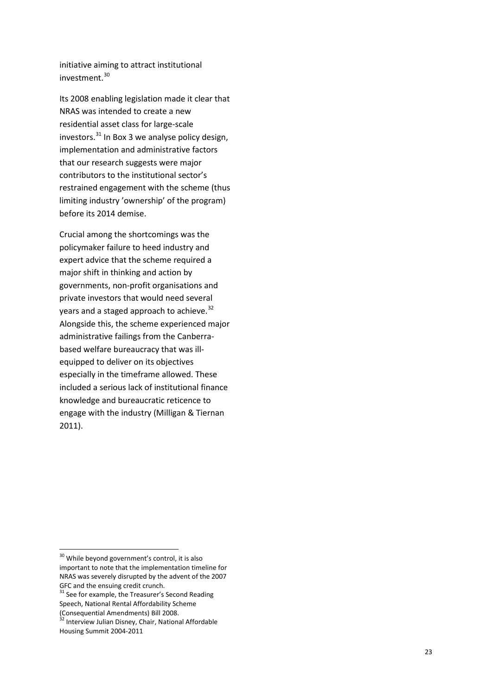initiative aiming to attract institutional investment . [30](#page-22-0)

Its 2008 enabling legislation made it clear that NRAS was intended to create a new residential asset class for large -scale investors.<sup>[31](#page-22-1)</sup> In Box 3 we analyse policy design, implementation and administrative factors that our research suggests were major contributors to the institutional sector's restrained engagement with the scheme (thus limiting industry 'ownership' of the program) before its 2014 demise .

Crucial among the shortcomings was the policymaker failure to heed industry and expert advice that the scheme required a major shift in thinking and action by governments, non -profit organisations and private investors that would need several years and a staged approach to achieve.<sup>[32](#page-22-2)</sup> Alongside this, the scheme experienced major administrative failings from the Canberra based welfare bureaucracy that was ill equipped to deliver on its objectives especially in the timeframe allowed. These included a serious lack of institutional finance knowledge and bureaucratic reticence to engage with the industry (Milligan & Tiernan 2011) .

<span id="page-22-0"></span><sup>&</sup>lt;sup>30</sup> While beyond government's control, it is also important to note that the implementation timeline for NRAS was severely disrupted by the advent of the 2007<br>GFC and the ensuing credit crunch.<br><sup>31</sup> See for example, the Treasurer's Second Reading

<span id="page-22-1"></span>Speech, National Rental Affordability Scheme<br>(Consequential Amendments) Bill 2008.

<span id="page-22-2"></span><sup>&</sup>lt;sup>32</sup> Interview Julian Disney, Chair, National Affordable Housing Summit 2004 -2011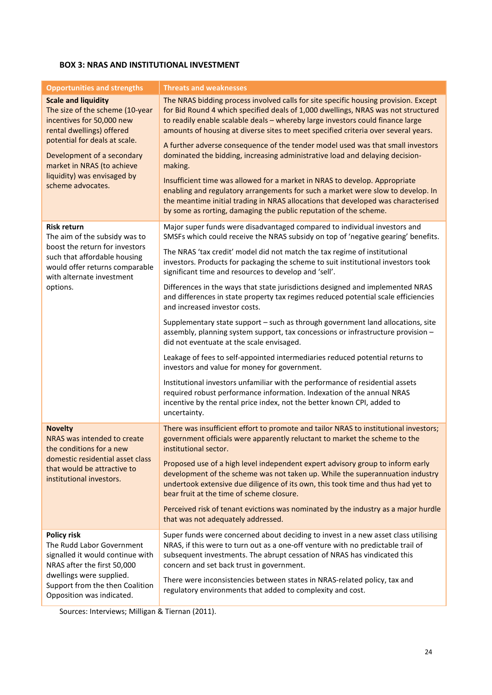#### **BOX 3: NRAS AND INSTITUTIONAL INVESTMENT**

| <b>Opportunities and strengths</b>                                                                                            | <b>Threats and weaknesses</b>                                                                                                                                                                                                                                                                                                                    |
|-------------------------------------------------------------------------------------------------------------------------------|--------------------------------------------------------------------------------------------------------------------------------------------------------------------------------------------------------------------------------------------------------------------------------------------------------------------------------------------------|
| <b>Scale and liquidity</b><br>The size of the scheme (10-year<br>incentives for 50,000 new<br>rental dwellings) offered       | The NRAS bidding process involved calls for site specific housing provision. Except<br>for Bid Round 4 which specified deals of 1,000 dwellings, NRAS was not structured<br>to readily enable scalable deals - whereby large investors could finance large<br>amounts of housing at diverse sites to meet specified criteria over several years. |
| potential for deals at scale.<br>Development of a secondary<br>market in NRAS (to achieve<br>liquidity) was envisaged by      | A further adverse consequence of the tender model used was that small investors<br>dominated the bidding, increasing administrative load and delaying decision-<br>making.                                                                                                                                                                       |
| scheme advocates.                                                                                                             | Insufficient time was allowed for a market in NRAS to develop. Appropriate<br>enabling and regulatory arrangements for such a market were slow to develop. In<br>the meantime initial trading in NRAS allocations that developed was characterised<br>by some as rorting, damaging the public reputation of the scheme.                          |
| <b>Risk return</b><br>The aim of the subsidy was to                                                                           | Major super funds were disadvantaged compared to individual investors and<br>SMSFs which could receive the NRAS subsidy on top of 'negative gearing' benefits.                                                                                                                                                                                   |
| boost the return for investors<br>such that affordable housing<br>would offer returns comparable<br>with alternate investment | The NRAS 'tax credit' model did not match the tax regime of institutional<br>investors. Products for packaging the scheme to suit institutional investors took<br>significant time and resources to develop and 'sell'.                                                                                                                          |
| options.                                                                                                                      | Differences in the ways that state jurisdictions designed and implemented NRAS<br>and differences in state property tax regimes reduced potential scale efficiencies<br>and increased investor costs.                                                                                                                                            |
|                                                                                                                               | Supplementary state support - such as through government land allocations, site<br>assembly, planning system support, tax concessions or infrastructure provision -<br>did not eventuate at the scale envisaged.                                                                                                                                 |
|                                                                                                                               | Leakage of fees to self-appointed intermediaries reduced potential returns to<br>investors and value for money for government.                                                                                                                                                                                                                   |
|                                                                                                                               | Institutional investors unfamiliar with the performance of residential assets<br>required robust performance information. Indexation of the annual NRAS<br>incentive by the rental price index, not the better known CPI, added to<br>uncertainty.                                                                                               |
| <b>Novelty</b><br>NRAS was intended to create<br>the conditions for a new                                                     | There was insufficient effort to promote and tailor NRAS to institutional investors;<br>government officials were apparently reluctant to market the scheme to the<br>institutional sector.                                                                                                                                                      |
| domestic residential asset class<br>that would be attractive to<br>institutional investors.                                   | Proposed use of a high level independent expert advisory group to inform early<br>development of the scheme was not taken up. While the superannuation industry<br>undertook extensive due diligence of its own, this took time and thus had yet to<br>bear fruit at the time of scheme closure.                                                 |
|                                                                                                                               | Perceived risk of tenant evictions was nominated by the industry as a major hurdle<br>that was not adequately addressed.                                                                                                                                                                                                                         |
| <b>Policy risk</b><br>The Rudd Labor Government<br>signalled it would continue with<br>NRAS after the first 50,000            | Super funds were concerned about deciding to invest in a new asset class utilising<br>NRAS, if this were to turn out as a one-off venture with no predictable trail of<br>subsequent investments. The abrupt cessation of NRAS has vindicated this<br>concern and set back trust in government.                                                  |
| dwellings were supplied.<br>Support from the then Coalition<br>Opposition was indicated.                                      | There were inconsistencies between states in NRAS-related policy, tax and<br>regulatory environments that added to complexity and cost.                                                                                                                                                                                                          |

Sources: Interviews; Milligan & Tiernan (2011).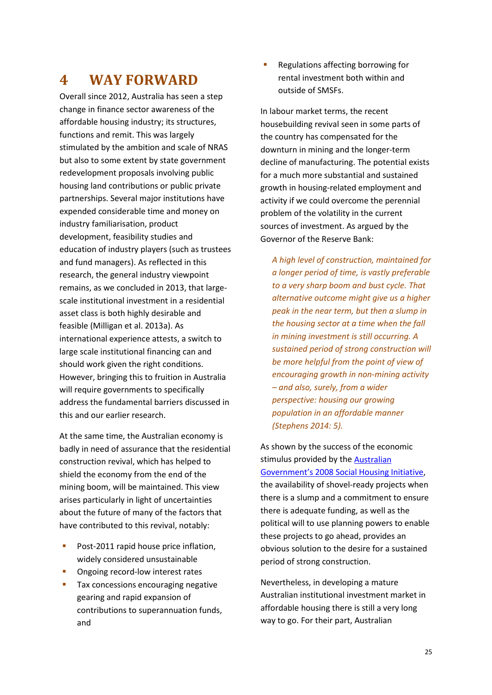## <span id="page-24-0"></span>**4 WAY FORWARD**

Overall since 2012, Australia has seen a step change in finance sector awareness of the affordable housing industry; its structures, functions and remit. This was largely stimulated by the ambition and scale of NRAS but also to some extent by state government redevelopment proposals involving public housing land contributions or public private partnerships. Several major institutions have expended considerable time and money on industry familiarisation, product development, feasibility studies and education of industry players (such as trustees and fund managers). As reflected in this research, the general industry viewpoint remains, as we concluded in 2013, that largescale institutional investment in a residential asset class is both highly desirable and feasible (Milligan et al. 2013a). As international experience attests, a switch to large scale institutional financing can and should work given the right conditions. However, bringing this to fruition in Australia will require governments to specifically address the fundamental barriers discussed in this and our earlier research.

At the same time, the Australian economy is badly in need of assurance that the residential construction revival, which has helped to shield the economy from the end of the mining boom, will be maintained. This view arises particularly in light of uncertainties about the future of many of the factors that have contributed to this revival, notably:

- **Post-2011 rapid house price inflation,** widely considered unsustainable
- **•** Ongoing record-low interest rates
- **Tax concessions encouraging negative** gearing and rapid expansion of contributions to superannuation funds, and

**Regulations affecting borrowing for** rental investment both within and outside of SMSFs.

In labour market terms, the recent housebuilding revival seen in some parts of the country has compensated for the downturn in mining and the longer-term decline of manufacturing. The potential exists for a much more substantial and sustained growth in housing-related employment and activity if we could overcome the perennial problem of the volatility in the current sources of investment. As argued by the Governor of the Reserve Bank:

*A high level of construction, maintained for a longer period of time, is vastly preferable to a very sharp boom and bust cycle. That alternative outcome might give us a higher peak in the near term, but then a slump in the housing sector at a time when the fall in mining investment is still occurring. A sustained period of strong construction will be more helpful from the point of view of encouraging growth in non-mining activity – and also, surely, from a wider perspective: housing our growing population in an affordable manner (Stephens 2014: 5).*

As shown by the success of the economic stimulus provided by th[e Australian](https://www.dss.gov.au/our-responsibilities/housing-support/publications-articles/social-housing-initiative-review) [Government's 2008 Social Housing Initiative,](https://www.dss.gov.au/our-responsibilities/housing-support/publications-articles/social-housing-initiative-review) the availability of shovel-ready projects when there is a slump and a commitment to ensure there is adequate funding, as well as the political will to use planning powers to enable these projects to go ahead, provides an obvious solution to the desire for a sustained period of strong construction.

Nevertheless, in developing a mature Australian institutional investment market in affordable housing there is still a very long way to go. For their part, Australian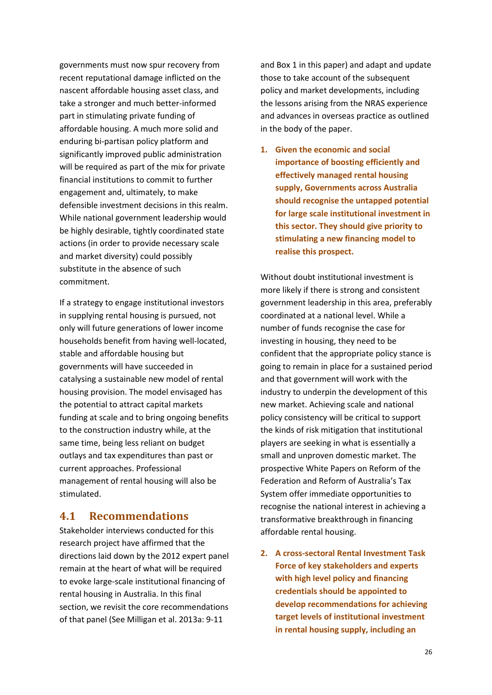governments must now spur recovery from recent reputational damage inflicted on the nascent affordable housing asset class, and take a stronger and much better-informed part in stimulating private funding of affordable housing. A much more solid and enduring bi-partisan policy platform and significantly improved public administration will be required as part of the mix for private financial institutions to commit to further engagement and, ultimately, to make defensible investment decisions in this realm. While national government leadership would be highly desirable, tightly coordinated state actions (in order to provide necessary scale and market diversity) could possibly substitute in the absence of such commitment.

If a strategy to engage institutional investors in supplying rental housing is pursued, not only will future generations of lower income households benefit from having well-located, stable and affordable housing but governments will have succeeded in catalysing a sustainable new model of rental housing provision. The model envisaged has the potential to attract capital markets funding at scale and to bring ongoing benefits to the construction industry while, at the same time, being less reliant on budget outlays and tax expenditures than past or current approaches. Professional management of rental housing will also be stimulated.

#### <span id="page-25-0"></span>**4.1 Recommendations**

Stakeholder interviews conducted for this research project have affirmed that the directions laid down by the 2012 expert panel remain at the heart of what will be required to evoke large-scale institutional financing of rental housing in Australia. In this final section, we revisit the core recommendations of that panel (See Milligan et al. 2013a: 9-11

and Box 1 in this paper) and adapt and update those to take account of the subsequent policy and market developments, including the lessons arising from the NRAS experience and advances in overseas practice as outlined in the body of the paper.

**1. Given the economic and social importance of boosting efficiently and effectively managed rental housing supply, Governments across Australia should recognise the untapped potential for large scale institutional investment in this sector. They should give priority to stimulating a new financing model to realise this prospect.**

Without doubt institutional investment is more likely if there is strong and consistent government leadership in this area, preferably coordinated at a national level. While a number of funds recognise the case for investing in housing, they need to be confident that the appropriate policy stance is going to remain in place for a sustained period and that government will work with the industry to underpin the development of this new market. Achieving scale and national policy consistency will be critical to support the kinds of risk mitigation that institutional players are seeking in what is essentially a small and unproven domestic market. The prospective White Papers on Reform of the Federation and Reform of Australia's Tax System offer immediate opportunities to recognise the national interest in achieving a transformative breakthrough in financing affordable rental housing.

**2. A cross-sectoral Rental Investment Task Force of key stakeholders and experts with high level policy and financing credentials should be appointed to develop recommendations for achieving target levels of institutional investment in rental housing supply, including an**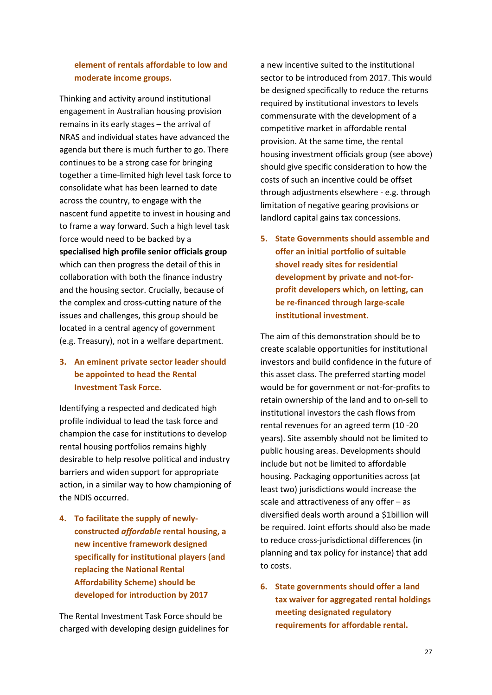#### **element of rentals affordable to low and moderate income groups.**

Thinking and activity around institutional engagement in Australian housing provision remains in its early stages – the arrival of NRAS and individual states have advanced the agenda but there is much further to go. There continues to be a strong case for bringing together a time-limited high level task force to consolidate what has been learned to date across the country, to engage with the nascent fund appetite to invest in housing and to frame a way forward. Such a high level task force would need to be backed by a **specialised high profile senior officials group** which can then progress the detail of this in collaboration with both the finance industry and the housing sector. Crucially, because of the complex and cross-cutting nature of the issues and challenges, this group should be located in a central agency of government (e.g. Treasury), not in a welfare department.

#### **3. An eminent private sector leader should be appointed to head the Rental Investment Task Force.**

Identifying a respected and dedicated high profile individual to lead the task force and champion the case for institutions to develop rental housing portfolios remains highly desirable to help resolve political and industry barriers and widen support for appropriate action, in a similar way to how championing of the NDIS occurred.

**4. To facilitate the supply of newlyconstructed** *affordable* **rental housing, a new incentive framework designed specifically for institutional players (and replacing the National Rental Affordability Scheme) should be developed for introduction by 2017**

The Rental Investment Task Force should be charged with developing design guidelines for

a new incentive suited to the institutional sector to be introduced from 2017. This would be designed specifically to reduce the returns required by institutional investors to levels commensurate with the development of a competitive market in affordable rental provision. At the same time, the rental housing investment officials group (see above) should give specific consideration to how the costs of such an incentive could be offset through adjustments elsewhere - e.g. through limitation of negative gearing provisions or landlord capital gains tax concessions.

**5. State Governments should assemble and offer an initial portfolio of suitable shovel ready sites for residential development by private and not-forprofit developers which, on letting, can be re-financed through large-scale institutional investment.**

The aim of this demonstration should be to create scalable opportunities for institutional investors and build confidence in the future of this asset class. The preferred starting model would be for government or not-for-profits to retain ownership of the land and to on-sell to institutional investors the cash flows from rental revenues for an agreed term (10 -20 years). Site assembly should not be limited to public housing areas. Developments should include but not be limited to affordable housing. Packaging opportunities across (at least two) jurisdictions would increase the scale and attractiveness of any offer – as diversified deals worth around a \$1billion will be required. Joint efforts should also be made to reduce cross-jurisdictional differences (in planning and tax policy for instance) that add to costs.

**6. State governments should offer a land tax waiver for aggregated rental holdings meeting designated regulatory requirements for affordable rental.**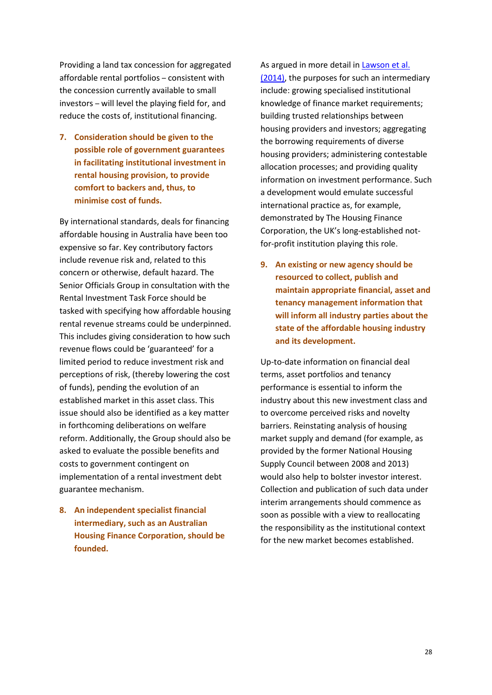Providing a land tax concession for aggregated affordable rental portfolios – consistent with the concession currently available to small investors – will level the playing field for, and reduce the costs of, institutional financing.

**7. Consideration should be given to the possible role of government guarantees in facilitating institutional investment in rental housing provision, to provide comfort to backers and, thus, to minimise cost of funds.**

By international standards, deals for financing affordable housing in Australia have been too expensive so far. Key contributory factors include revenue risk and, related to this concern or otherwise, default hazard. The Senior Officials Group in consultation with the Rental Investment Task Force should be tasked with specifying how affordable housing rental revenue streams could be underpinned. This includes giving consideration to how such revenue flows could be 'guaranteed' for a limited period to reduce investment risk and perceptions of risk, (thereby lowering the cost of funds), pending the evolution of an established market in this asset class. This issue should also be identified as a key matter in forthcoming deliberations on welfare reform. Additionally, the Group should also be asked to evaluate the possible benefits and costs to government contingent on implementation of a rental investment debt guarantee mechanism.

**8. An independent specialist financial intermediary, such as an Australian Housing Finance Corporation, should be founded.**

As argued in more detail in [Lawson et al.](http://www.ahuri.edu.au/publications/projects/p53019) [\(2014\),](http://www.ahuri.edu.au/publications/projects/p53019) the purposes for such an intermediary include: growing specialised institutional knowledge of finance market requirements; building trusted relationships between housing providers and investors; aggregating the borrowing requirements of diverse housing providers; administering contestable allocation processes; and providing quality information on investment performance. Such a development would emulate successful international practice as, for example, demonstrated by The Housing Finance Corporation, the UK's long-established notfor-profit institution playing this role.

**9. An existing or new agency should be resourced to collect, publish and maintain appropriate financial, asset and tenancy management information that will inform all industry parties about the state of the affordable housing industry and its development.**

Up-to-date information on financial deal terms, asset portfolios and tenancy performance is essential to inform the industry about this new investment class and to overcome perceived risks and novelty barriers. Reinstating analysis of housing market supply and demand (for example, as provided by the former National Housing Supply Council between 2008 and 2013) would also help to bolster investor interest. Collection and publication of such data under interim arrangements should commence as soon as possible with a view to reallocating the responsibility as the institutional context for the new market becomes established.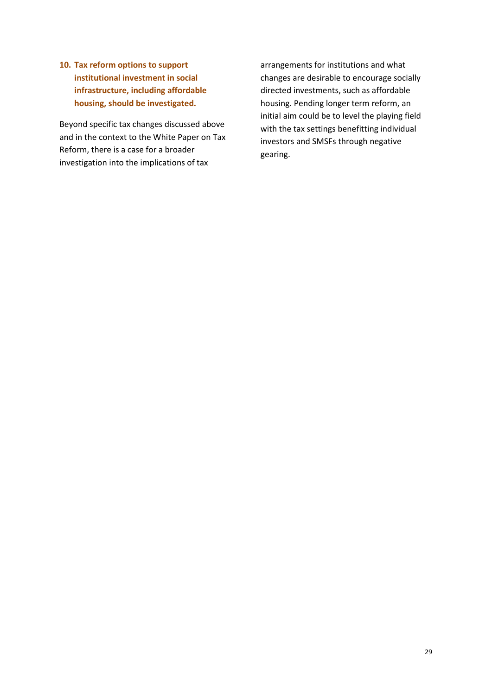**10. Tax reform options to support institutional investment in social infrastructure, including affordable housing, should be investigated.** 

Beyond specific tax changes discussed above and in the context to the White Paper on Tax Reform, there is a case for a broader investigation into the implications of tax

arrangements for institutions and what changes are desirable to encourage socially directed investments, such as affordable housing. Pending longer term reform, an initial aim could be to level the playing field with the tax settings benefitting individual investors and SMSFs through negative gearing.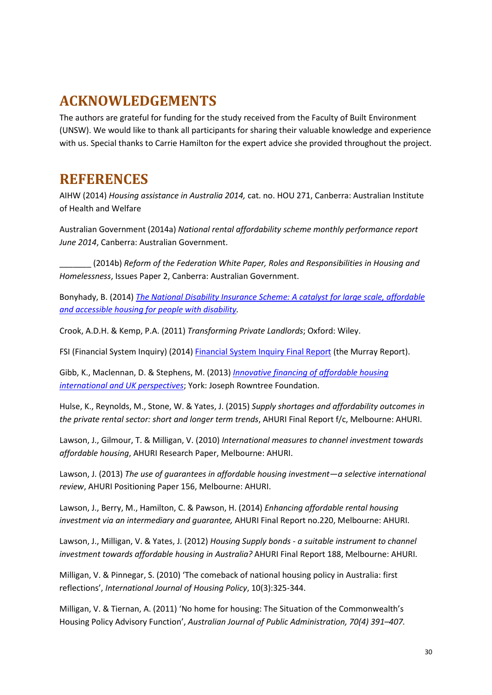# <span id="page-29-0"></span>**ACKNOWLEDGEMENTS**

The authors are grateful for funding for the study received from the Faculty of Built Environment (UNSW). We would like to thank all participants for sharing their valuable knowledge and experience with us. Special thanks to Carrie Hamilton for the expert advice she provided throughout the project.

## <span id="page-29-1"></span>**REFERENCES**

AIHW (2014) *Housing assistance in Australia 2014,* cat. no. HOU 271, Canberra: Australian Institute of Health and Welfare

Australian Government (2014a) *National rental affordability scheme monthly performance report June 2014*, Canberra: Australian Government.

\_\_\_\_\_\_\_ (2014b) *Reform of the Federation White Paper, Roles and Responsibilities in Housing and Homelessness*, Issues Paper 2, Canberra: Australian Government.

Bonyhady, B. (2014) *[The National Disability Insurance Scheme: A catalyst for large scale, affordable](http://chfa.com.au/sites/default/files/sites/default/files/docs/bonyhady_bruce_-_presentation_-_chfa_ndis_forum_-_27_march_2014.pdf)  [and accessible housing for people with disability.](http://chfa.com.au/sites/default/files/sites/default/files/docs/bonyhady_bruce_-_presentation_-_chfa_ndis_forum_-_27_march_2014.pdf)*

Crook, A.D.H. & Kemp, P.A. (2011) *Transforming Private Landlords*; Oxford: Wiley.

FSI (Financial System Inquiry) (2014) [Financial System Inquiry](http://fsi.gov.au/files/2014/12/FSI_Final_Report_Consolidated20141210.pdf) Final Report (the Murray Report).

Gibb, K., Maclennan, D. & Stephens, M. (2013) *[Innovative financing of affordable housing](http://www.jrf.org.uk/sites/files/jrf/affordable-housing-finance-full.pdf) [international and UK perspectives](http://www.jrf.org.uk/sites/files/jrf/affordable-housing-finance-full.pdf)*; York: Joseph Rowntree Foundation.

Hulse, K., Reynolds, M., Stone, W. & Yates, J. (2015) *Supply shortages and affordability outcomes in the private rental sector: short and longer term trends*, AHURI Final Report f/c, Melbourne: AHURI.

Lawson, J., Gilmour, T. & Milligan, V. (2010) *International measures to channel investment towards affordable housing*, AHURI Research Paper, Melbourne: AHURI.

Lawson, J. (2013) *The use of guarantees in affordable housing investment—a selective international review*, AHURI Positioning Paper 156, Melbourne: AHURI.

Lawson, J., Berry, M., Hamilton, C. & Pawson, H. (2014) *Enhancing affordable rental housing investment via an intermediary and guarantee,* AHURI Final Report no.220, Melbourne: AHURI.

Lawson, J., Milligan, V. & Yates, J. (2012) *Housing Supply bonds - a suitable instrument to channel investment towards affordable housing in Australia?* AHURI Final Report 188, Melbourne: AHURI.

Milligan, V. & Pinnegar, S. (2010) 'The comeback of national housing policy in Australia: first reflections', *International Journal of Housing Policy*, 10(3):325-344.

Milligan, V. & Tiernan, A. (2011) 'No home for housing: The Situation of the Commonwealth's Housing Policy Advisory Function', *Australian Journal of Public Administration, 70(4) 391–407.*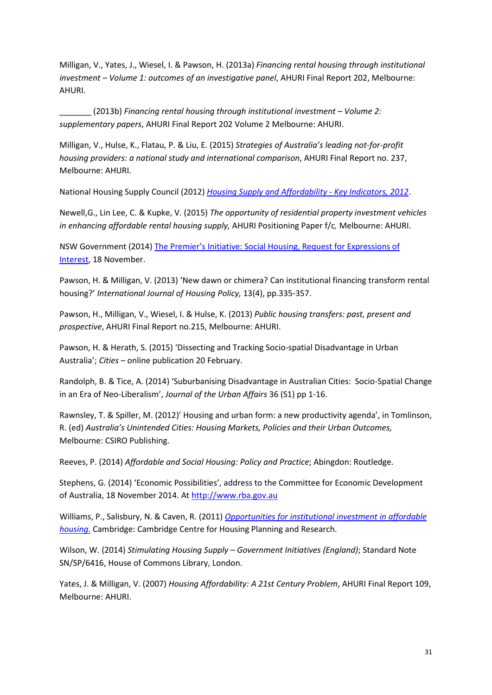Milligan, V., Yates, J., Wiesel, I. & Pawson, H. (2013a) *Financing rental housing through institutional investment – Volume 1: outcomes of an investigative panel*, AHURI Final Report 202, Melbourne: AHURI.

\_\_\_\_\_\_\_ (2013b) *Financing rental housing through institutional investment – Volume 2: supplementary papers*, AHURI Final Report 202 Volume 2 Melbourne: AHURI.

Milligan, V., Hulse, K., Flatau, P. & Liu, E. (2015) *Strategies of Australia's leading not-for-profit housing providers: a national study and international comparison*, AHURI Final Report no. 237, Melbourne: AHURI.

National Housing Supply Council (2012) *[Housing Supply and Affordability -](http://treasury.gov.au/PublicationsAndMedia/Publications/2012/NHSC) Key Indicators, 2012*.

Newell,G., Lin Lee, C. & Kupke, V. (2015) *The opportunity of residential property investment vehicles in enhancing affordable rental housing supply,* AHURI Positioning Paper f/c*,* Melbourne: AHURI.

NSW Government (2014) [The Premier's Initiative: Social Housing, Request for Expressions of](http://nsw.gov.au/innovate)  [Interest,](http://nsw.gov.au/innovate) 18 November.

Pawson, H. & Milligan, V. (2013) 'New dawn or chimera? Can institutional financing transform rental housing?' *International Journal of Housing Policy,* 13(4), pp.335-357.

Pawson, H., Milligan, V., Wiesel, I. & Hulse, K. (2013) *Public housing transfers: past, present and prospective*, AHURI Final Report no.215, Melbourne: AHURI.

Pawson, H. & Herath, S. (2015) 'Dissecting and Tracking Socio-spatial Disadvantage in Urban Australia'; *Cities* – online publication 20 February.

Randolph, B. & Tice, A. (2014) 'Suburbanising Disadvantage in Australian Cities: Socio-Spatial Change in an Era of Neo-Liberalism', *Journal of the Urban Affairs* 36 (S1) pp 1-16.

Rawnsley, T. & Spiller, M. (2012)' Housing and urban form: a new productivity agenda', in Tomlinson, R. (ed) *Australia's Unintended Cities: Housing Markets, Policies and their Urban Outcomes,*  Melbourne: CSIRO Publishing.

Reeves, P. (2014) *Affordable and Social Housing: Policy and Practice*; Abingdon: Routledge.

Stephens, G. (2014) 'Economic Possibilities', address to the Committee for Economic Development of Australia, 18 November 2014. At [http://www.rba.gov.au](http://www.rba.gov.au/)

Williams, P., Salisbury, N. & Caven, R. (2011) *[Opportunities for institutional investment in affordable](http://www.cchpr.landecon.cam.ac.uk/Downloads/110311%20Institutional%20Funding.pdf)  [housing](http://www.cchpr.landecon.cam.ac.uk/Downloads/110311%20Institutional%20Funding.pdf)*. Cambridge: Cambridge Centre for Housing Planning and Research.

Wilson, W. (2014) *Stimulating Housing Supply – Government Initiatives (England)*; Standard Note SN/SP/6416, House of Commons Library, London.

Yates, J. & Milligan, V. (2007) *Housing Affordability: A 21st Century Problem*, AHURI Final Report 109, Melbourne: AHURI.